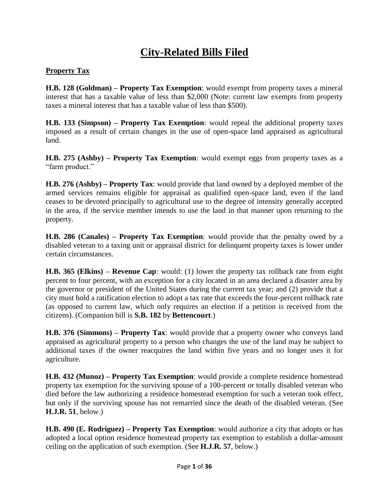# **City-Related Bills Filed**

#### **Property Tax**

**H.B. 128 (Goldman) – Property Tax Exemption**: would exempt from property taxes a mineral interest that has a taxable value of less than \$2,000 (Note: current law exempts from property taxes a mineral interest that has a taxable value of less than \$500).

**H.B. 133 (Simpson) – Property Tax Exemption**: would repeal the additional property taxes imposed as a result of certain changes in the use of open-space land appraised as agricultural land.

**H.B. 275 (Ashby) – Property Tax Exemption**: would exempt eggs from property taxes as a "farm product."

**H.B. 276 (Ashby) – Property Tax**: would provide that land owned by a deployed member of the armed services remains eligible for appraisal as qualified open-space land, even if the land ceases to be devoted principally to agricultural use to the degree of intensity generally accepted in the area, if the service member intends to use the land in that manner upon returning to the property.

**H.B. 286 (Canales) – Property Tax Exemption**: would provide that the penalty owed by a disabled veteran to a taxing unit or appraisal district for delinquent property taxes is lower under certain circumstances.

**H.B. 365 (Elkins) – Revenue Cap**: would: (1) lower the property tax rollback rate from eight percent to four percent, with an exception for a city located in an area declared a disaster area by the governor or president of the United States during the current tax year; and (2) provide that a city must hold a ratification election to adopt a tax rate that exceeds the four-percent rollback rate (as opposed to current law, which only requires an election if a petition is received from the citizens). (Companion bill is **S.B. 182** by **Bettencourt**.)

**H.B. 376 (Simmons) – Property Tax**: would provide that a property owner who conveys land appraised as agricultural property to a person who changes the use of the land may be subject to additional taxes if the owner reacquires the land within five years and no longer uses it for agriculture.

**H.B. 432 (Munoz) – Property Tax Exemption**: would provide a complete residence homestead property tax exemption for the surviving spouse of a 100-percent or totally disabled veteran who died before the law authorizing a residence homestead exemption for such a veteran took effect, but only if the surviving spouse has not remarried since the death of the disabled veteran. (See **H.J.R. 51**, below.)

**H.B. 490 (E. Rodriguez) – Property Tax Exemption**: would authorize a city that adopts or has adopted a local option residence homestead property tax exemption to establish a dollar-amount ceiling on the application of such exemption. (See **H.J.R. 57**, below.)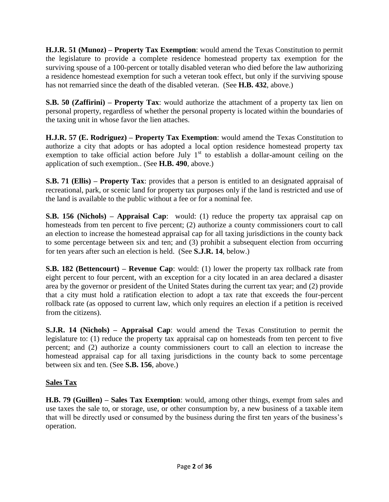**H.J.R. 51 (Munoz) – Property Tax Exemption**: would amend the Texas Constitution to permit the legislature to provide a complete residence homestead property tax exemption for the surviving spouse of a 100-percent or totally disabled veteran who died before the law authorizing a residence homestead exemption for such a veteran took effect, but only if the surviving spouse has not remarried since the death of the disabled veteran. (See **H.B. 432**, above.)

**S.B. 50 (Zaffirini) – Property Tax**: would authorize the attachment of a property tax lien on personal property, regardless of whether the personal property is located within the boundaries of the taxing unit in whose favor the lien attaches.

**H.J.R. 57 (E. Rodriguez) – Property Tax Exemption**: would amend the Texas Constitution to authorize a city that adopts or has adopted a local option residence homestead property tax exemption to take official action before July  $1<sup>st</sup>$  to establish a dollar-amount ceiling on the application of such exemption.. (See **H.B. 490**, above.)

**S.B. 71 (Ellis) – Property Tax**: provides that a person is entitled to an designated appraisal of recreational, park, or scenic land for property tax purposes only if the land is restricted and use of the land is available to the public without a fee or for a nominal fee.

**S.B. 156 (Nichols) – Appraisal Cap**: would: (1) reduce the property tax appraisal cap on homesteads from ten percent to five percent; (2) authorize a county commissioners court to call an election to increase the homestead appraisal cap for all taxing jurisdictions in the county back to some percentage between six and ten; and (3) prohibit a subsequent election from occurring for ten years after such an election is held. (See **S.J.R. 14**, below.)

**S.B. 182 (Bettencourt) – Revenue Cap**: would: (1) lower the property tax rollback rate from eight percent to four percent, with an exception for a city located in an area declared a disaster area by the governor or president of the United States during the current tax year; and (2) provide that a city must hold a ratification election to adopt a tax rate that exceeds the four-percent rollback rate (as opposed to current law, which only requires an election if a petition is received from the citizens).

**S.J.R. 14 (Nichols) – Appraisal Cap**: would amend the Texas Constitution to permit the legislature to: (1) reduce the property tax appraisal cap on homesteads from ten percent to five percent; and (2) authorize a county commissioners court to call an election to increase the homestead appraisal cap for all taxing jurisdictions in the county back to some percentage between six and ten. (See **S.B. 156**, above.)

#### **Sales Tax**

**H.B. 79 (Guillen) – Sales Tax Exemption**: would, among other things, exempt from sales and use taxes the sale to, or storage, use, or other consumption by, a new business of a taxable item that will be directly used or consumed by the business during the first ten years of the business's operation.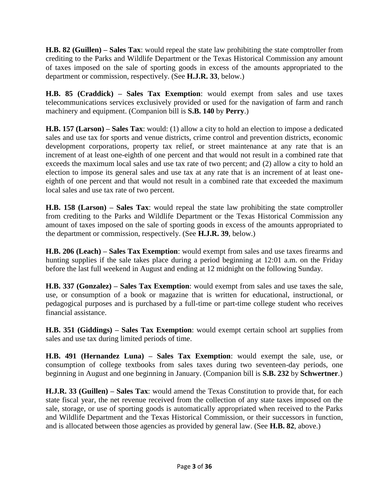**H.B. 82 (Guillen) – Sales Tax**: would repeal the state law prohibiting the state comptroller from crediting to the Parks and Wildlife Department or the Texas Historical Commission any amount of taxes imposed on the sale of sporting goods in excess of the amounts appropriated to the department or commission, respectively. (See **H.J.R. 33**, below.)

**H.B. 85 (Craddick) – Sales Tax Exemption**: would exempt from sales and use taxes telecommunications services exclusively provided or used for the navigation of farm and ranch machinery and equipment. (Companion bill is **S.B. 140** by **Perry**.)

**H.B. 157 (Larson) – Sales Tax**: would: (1) allow a city to hold an election to impose a dedicated sales and use tax for sports and venue districts, crime control and prevention districts, economic development corporations, property tax relief, or street maintenance at any rate that is an increment of at least one-eighth of one percent and that would not result in a combined rate that exceeds the maximum local sales and use tax rate of two percent; and (2) allow a city to hold an election to impose its general sales and use tax at any rate that is an increment of at least oneeighth of one percent and that would not result in a combined rate that exceeded the maximum local sales and use tax rate of two percent.

**H.B. 158 (Larson) – Sales Tax**: would repeal the state law prohibiting the state comptroller from crediting to the Parks and Wildlife Department or the Texas Historical Commission any amount of taxes imposed on the sale of sporting goods in excess of the amounts appropriated to the department or commission, respectively. (See **H.J.R. 39**, below.)

**H.B. 206 (Leach) – Sales Tax Exemption**: would exempt from sales and use taxes firearms and hunting supplies if the sale takes place during a period beginning at 12:01 a.m. on the Friday before the last full weekend in August and ending at 12 midnight on the following Sunday.

**H.B. 337 (Gonzalez) – Sales Tax Exemption**: would exempt from sales and use taxes the sale, use, or consumption of a book or magazine that is written for educational, instructional, or pedagogical purposes and is purchased by a full-time or part-time college student who receives financial assistance.

**H.B. 351 (Giddings) – Sales Tax Exemption**: would exempt certain school art supplies from sales and use tax during limited periods of time.

**H.B. 491 (Hernandez Luna) – Sales Tax Exemption**: would exempt the sale, use, or consumption of college textbooks from sales taxes during two seventeen-day periods, one beginning in August and one beginning in January. (Companion bill is **S.B. 232** by **Schwertner**.)

**H.J.R. 33 (Guillen) – Sales Tax**: would amend the Texas Constitution to provide that, for each state fiscal year, the net revenue received from the collection of any state taxes imposed on the sale, storage, or use of sporting goods is automatically appropriated when received to the Parks and Wildlife Department and the Texas Historical Commission, or their successors in function, and is allocated between those agencies as provided by general law. (See **H.B. 82**, above.)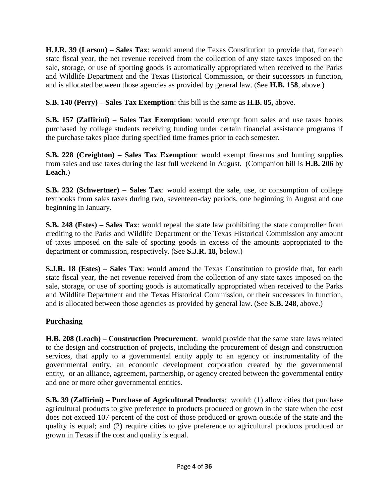**H.J.R. 39 (Larson) – Sales Tax**: would amend the Texas Constitution to provide that, for each state fiscal year, the net revenue received from the collection of any state taxes imposed on the sale, storage, or use of sporting goods is automatically appropriated when received to the Parks and Wildlife Department and the Texas Historical Commission, or their successors in function, and is allocated between those agencies as provided by general law. (See **H.B. 158**, above.)

**S.B. 140 (Perry) – Sales Tax Exemption**: this bill is the same as **H.B. 85,** above.

**S.B. 157 (Zaffirini) – Sales Tax Exemption**: would exempt from sales and use taxes books purchased by college students receiving funding under certain financial assistance programs if the purchase takes place during specified time frames prior to each semester.

**S.B. 228 (Creighton) – Sales Tax Exemption**: would exempt firearms and hunting supplies from sales and use taxes during the last full weekend in August. (Companion bill is **H.B. 206** by **Leach**.)

**S.B. 232 (Schwertner) – Sales Tax**: would exempt the sale, use, or consumption of college textbooks from sales taxes during two, seventeen-day periods, one beginning in August and one beginning in January.

**S.B. 248 (Estes) – Sales Tax**: would repeal the state law prohibiting the state comptroller from crediting to the Parks and Wildlife Department or the Texas Historical Commission any amount of taxes imposed on the sale of sporting goods in excess of the amounts appropriated to the department or commission, respectively. (See **S.J.R. 18**, below.)

**S.J.R. 18 (Estes) – Sales Tax**: would amend the Texas Constitution to provide that, for each state fiscal year, the net revenue received from the collection of any state taxes imposed on the sale, storage, or use of sporting goods is automatically appropriated when received to the Parks and Wildlife Department and the Texas Historical Commission, or their successors in function, and is allocated between those agencies as provided by general law. (See **S.B. 248**, above.)

# **Purchasing**

**H.B. 208 (Leach) – Construction Procurement**: would provide that the same state laws related to the design and construction of projects, including the procurement of design and construction services, that apply to a governmental entity apply to an agency or instrumentality of the governmental entity, an economic development corporation created by the governmental entity, or an alliance, agreement, partnership, or agency created between the governmental entity and one or more other governmental entities.

**S.B. 39 (Zaffirini) – Purchase of Agricultural Products**: would: (1) allow cities that purchase agricultural products to give preference to products produced or grown in the state when the cost does not exceed 107 percent of the cost of those produced or grown outside of the state and the quality is equal; and (2) require cities to give preference to agricultural products produced or grown in Texas if the cost and quality is equal.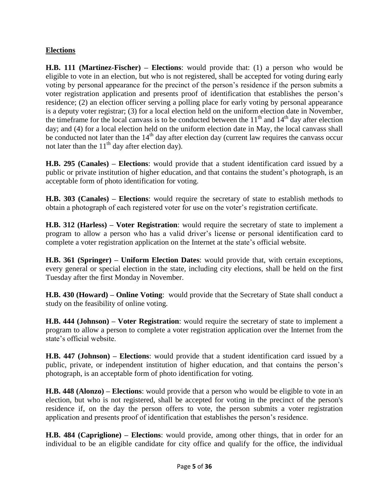## **Elections**

**H.B. 111 (Martinez-Fischer) – Elections**: would provide that: (1) a person who would be eligible to vote in an election, but who is not registered, shall be accepted for voting during early voting by personal appearance for the precinct of the person's residence if the person submits a voter registration application and presents proof of identification that establishes the person's residence; (2) an election officer serving a polling place for early voting by personal appearance is a deputy voter registrar; (3) for a local election held on the uniform election date in November, the timeframe for the local canvass is to be conducted between the  $11<sup>th</sup>$  and  $14<sup>th</sup>$  day after election day; and (4) for a local election held on the uniform election date in May, the local canvass shall be conducted not later than the  $14<sup>th</sup>$  day after election day (current law requires the canvass occur not later than the  $11<sup>th</sup>$  day after election day).

**H.B. 295 (Canales) – Elections**: would provide that a student identification card issued by a public or private institution of higher education, and that contains the student's photograph, is an acceptable form of photo identification for voting.

**H.B. 303 (Canales) – Elections**: would require the secretary of state to establish methods to obtain a photograph of each registered voter for use on the voter's registration certificate.

**H.B. 312 (Harless) – Voter Registration**: would require the secretary of state to implement a program to allow a person who has a valid driver's license or personal identification card to complete a voter registration application on the Internet at the state's official website.

**H.B. 361 (Springer) – Uniform Election Dates**: would provide that, with certain exceptions, every general or special election in the state, including city elections, shall be held on the first Tuesday after the first Monday in November.

**H.B. 430 (Howard) – Online Voting**: would provide that the Secretary of State shall conduct a study on the feasibility of online voting.

**H.B. 444 (Johnson) – Voter Registration**: would require the secretary of state to implement a program to allow a person to complete a voter registration application over the Internet from the state's official website.

**H.B. 447 (Johnson) – Elections**: would provide that a student identification card issued by a public, private, or independent institution of higher education, and that contains the person's photograph, is an acceptable form of photo identification for voting.

**H.B. 448 (Alonzo) – Elections**: would provide that a person who would be eligible to vote in an election, but who is not registered, shall be accepted for voting in the precinct of the person's residence if, on the day the person offers to vote, the person submits a voter registration application and presents proof of identification that establishes the person's residence.

**H.B. 484 (Capriglione) – Elections**: would provide, among other things, that in order for an individual to be an eligible candidate for city office and qualify for the office, the individual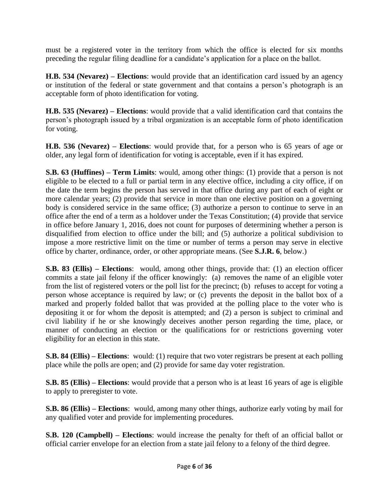must be a registered voter in the territory from which the office is elected for six months preceding the regular filing deadline for a candidate's application for a place on the ballot.

**H.B. 534 (Nevarez) – Elections**: would provide that an identification card issued by an agency or institution of the federal or state government and that contains a person's photograph is an acceptable form of photo identification for voting.

**H.B. 535 (Nevarez) – Elections**: would provide that a valid identification card that contains the person's photograph issued by a tribal organization is an acceptable form of photo identification for voting.

**H.B. 536 (Nevarez) – Elections**: would provide that, for a person who is 65 years of age or older, any legal form of identification for voting is acceptable, even if it has expired.

**S.B. 63 (Huffines) – Term Limits**: would, among other things: (1) provide that a person is not eligible to be elected to a full or partial term in any elective office, including a city office, if on the date the term begins the person has served in that office during any part of each of eight or more calendar years; (2) provide that service in more than one elective position on a governing body is considered service in the same office; (3) authorize a person to continue to serve in an office after the end of a term as a holdover under the Texas Constitution; (4) provide that service in office before January 1, 2016, does not count for purposes of determining whether a person is disqualified from election to office under the bill; and (5) authorize a political subdivision to impose a more restrictive limit on the time or number of terms a person may serve in elective office by charter, ordinance, order, or other appropriate means. (See **S.J.R. 6**, below.)

**S.B. 83 (Ellis) – Elections**: would, among other things, provide that: (1) an election officer commits a state jail felony if the officer knowingly: (a) removes the name of an eligible voter from the list of registered voters or the poll list for the precinct; (b) refuses to accept for voting a person whose acceptance is required by law; or (c) prevents the deposit in the ballot box of a marked and properly folded ballot that was provided at the polling place to the voter who is depositing it or for whom the deposit is attempted; and (2) a person is subject to criminal and civil liability if he or she knowingly deceives another person regarding the time, place, or manner of conducting an election or the qualifications for or restrictions governing voter eligibility for an election in this state.

**S.B. 84 (Ellis) – Elections**: would: (1) require that two voter registrars be present at each polling place while the polls are open; and (2) provide for same day voter registration.

**S.B. 85 (Ellis) – Elections**: would provide that a person who is at least 16 years of age is eligible to apply to preregister to vote.

**S.B. 86 (Ellis) – Elections**: would, among many other things, authorize early voting by mail for any qualified voter and provide for implementing procedures.

**S.B. 120 (Campbell) – Elections**: would increase the penalty for theft of an official ballot or official carrier envelope for an election from a state jail felony to a felony of the third degree.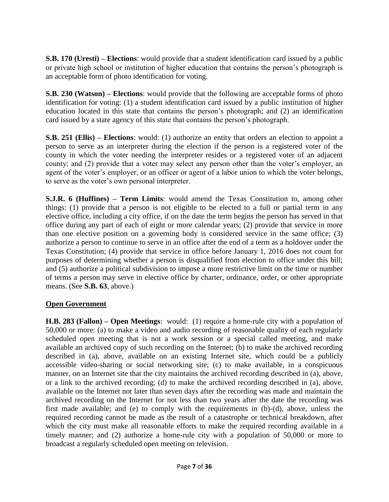**S.B. 170 (Uresti) – Elections**: would provide that a student identification card issued by a public or private high school or institution of higher education that contains the person's photograph is an acceptable form of photo identification for voting.

**S.B. 230 (Watson) – Elections**: would provide that the following are acceptable forms of photo identification for voting: (1) a student identification card issued by a public institution of higher education located in this state that contains the person's photograph; and (2) an identification card issued by a state agency of this state that contains the person's photograph.

**S.B. 251 (Ellis) – Elections**: would: (1) authorize an entity that orders an election to appoint a person to serve as an interpreter during the election if the person is a registered voter of the county in which the voter needing the interpreter resides or a registered voter of an adjacent county; and (2) provide that a voter may select any person other than the voter's employer, an agent of the voter's employer, or an officer or agent of a labor union to which the voter belongs, to serve as the voter's own personal interpreter.

**S.J.R. 6 (Huffines) – Term Limits**: would amend the Texas Constitution to, among other things: (1) provide that a person is not eligible to be elected to a full or partial term in any elective office, including a city office, if on the date the term begins the person has served in that office during any part of each of eight or more calendar years; (2) provide that service in more than one elective position on a governing body is considered service in the same office; (3) authorize a person to continue to serve in an office after the end of a term as a holdover under the Texas Constitution; (4) provide that service in office before January 1, 2016 does not count for purposes of determining whether a person is disqualified from election to office under this bill; and (5) authorize a political subdivision to impose a more restrictive limit on the time or number of terms a person may serve in elective office by charter, ordinance, order, or other appropriate means. (See **S.B. 63**, above.)

#### **Open Government**

**H.B. 283 (Fallon) – Open Meetings**: would: (1) require a home-rule city with a population of 50,000 or more: (a) to make a video and audio recording of reasonable quality of each regularly scheduled open meeting that is not a work session or a special called meeting, and make available an archived copy of such recording on the Internet; (b) to make the archived recording described in (a), above, available on an existing Internet site, which could be a publicly accessible video-sharing or social networking site; (c) to make available, in a conspicuous manner, on an Internet site that the city maintains the archived recording described in (a), above, or a link to the archived recording; (d) to make the archived recording described in (a), above, available on the Internet not later than seven days after the recording was made and maintain the archived recording on the Internet for not less than two years after the date the recording was first made available; and (e) to comply with the requirements in (b)-(d), above, unless the required recording cannot be made as the result of a catastrophe or technical breakdown, after which the city must make all reasonable efforts to make the required recording available in a timely manner; and (2) authorize a home-rule city with a population of 50,000 or more to broadcast a regularly scheduled open meeting on television.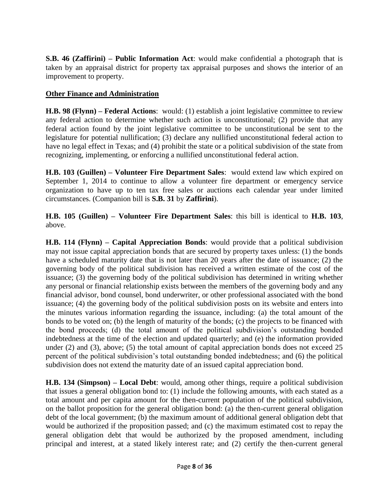**S.B. 46 (Zaffirini) – Public Information Act**: would make confidential a photograph that is taken by an appraisal district for property tax appraisal purposes and shows the interior of an improvement to property.

#### **Other Finance and Administration**

**H.B. 98 (Flynn) – Federal Actions**: would: (1) establish a joint legislative committee to review any federal action to determine whether such action is unconstitutional; (2) provide that any federal action found by the joint legislative committee to be unconstitutional be sent to the legislature for potential nullification; (3) declare any nullified unconstitutional federal action to have no legal effect in Texas; and (4) prohibit the state or a political subdivision of the state from recognizing, implementing, or enforcing a nullified unconstitutional federal action.

**H.B. 103 (Guillen) – Volunteer Fire Department Sales**: would extend law which expired on September 1, 2014 to continue to allow a volunteer fire department or emergency service organization to have up to ten tax free sales or auctions each calendar year under limited circumstances. (Companion bill is **S.B. 31** by **Zaffirini**).

**H.B. 105 (Guillen) – Volunteer Fire Department Sales**: this bill is identical to **H.B. 103**, above.

**H.B. 114 (Flynn) – Capital Appreciation Bonds**: would provide that a political subdivision may not issue capital appreciation bonds that are secured by property taxes unless: (1) the bonds have a scheduled maturity date that is not later than 20 years after the date of issuance; (2) the governing body of the political subdivision has received a written estimate of the cost of the issuance; (3) the governing body of the political subdivision has determined in writing whether any personal or financial relationship exists between the members of the governing body and any financial advisor, bond counsel, bond underwriter, or other professional associated with the bond issuance; (4) the governing body of the political subdivision posts on its website and enters into the minutes various information regarding the issuance, including: (a) the total amount of the bonds to be voted on; (b) the length of maturity of the bonds; (c) the projects to be financed with the bond proceeds; (d) the total amount of the political subdivision's outstanding bonded indebtedness at the time of the election and updated quarterly; and (e) the information provided under (2) and (3), above; (5) the total amount of capital appreciation bonds does not exceed 25 percent of the political subdivision's total outstanding bonded indebtedness; and (6) the political subdivision does not extend the maturity date of an issued capital appreciation bond.

**H.B. 134 (Simpson) – Local Debt**: would, among other things, require a political subdivision that issues a general obligation bond to: (1) include the following amounts, with each stated as a total amount and per capita amount for the then-current population of the political subdivision, on the ballot proposition for the general obligation bond: (a) the then-current general obligation debt of the local government; (b) the maximum amount of additional general obligation debt that would be authorized if the proposition passed; and (c) the maximum estimated cost to repay the general obligation debt that would be authorized by the proposed amendment, including principal and interest, at a stated likely interest rate; and (2) certify the then-current general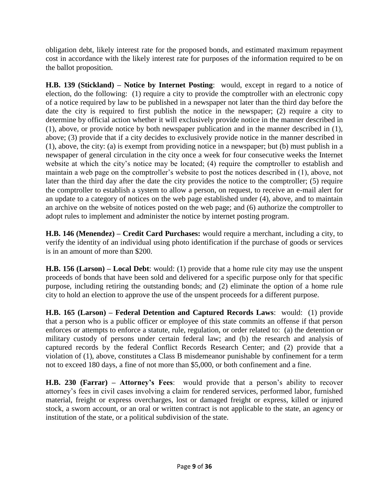obligation debt, likely interest rate for the proposed bonds, and estimated maximum repayment cost in accordance with the likely interest rate for purposes of the information required to be on the ballot proposition.

**H.B. 139 (Stickland) – Notice by Internet Posting**: would, except in regard to a notice of election, do the following: (1) require a city to provide the comptroller with an electronic copy of a notice required by law to be published in a newspaper not later than the third day before the date the city is required to first publish the notice in the newspaper; (2) require a city to determine by official action whether it will exclusively provide notice in the manner described in (1), above, or provide notice by both newspaper publication and in the manner described in (1), above; (3) provide that if a city decides to exclusively provide notice in the manner described in (1), above, the city: (a) is exempt from providing notice in a newspaper; but (b) must publish in a newspaper of general circulation in the city once a week for four consecutive weeks the Internet website at which the city's notice may be located; (4) require the comptroller to establish and maintain a web page on the comptroller's website to post the notices described in (1), above, not later than the third day after the date the city provides the notice to the comptroller; (5) require the comptroller to establish a system to allow a person, on request, to receive an e-mail alert for an update to a category of notices on the web page established under (4), above, and to maintain an archive on the website of notices posted on the web page; and (6) authorize the comptroller to adopt rules to implement and administer the notice by internet posting program.

**H.B. 146 (Menendez) – Credit Card Purchases:** would require a merchant, including a city, to verify the identity of an individual using photo identification if the purchase of goods or services is in an amount of more than \$200.

**H.B. 156 (Larson) – Local Debt**: would: (1) provide that a home rule city may use the unspent proceeds of bonds that have been sold and delivered for a specific purpose only for that specific purpose, including retiring the outstanding bonds; and (2) eliminate the option of a home rule city to hold an election to approve the use of the unspent proceeds for a different purpose.

**H.B. 165 (Larson) – Federal Detention and Captured Records Laws**: would: (1) provide that a person who is a public officer or employee of this state commits an offense if that person enforces or attempts to enforce a statute, rule, regulation, or order related to: (a) the detention or military custody of persons under certain federal law; and (b) the research and analysis of captured records by the federal Conflict Records Research Center; and (2) provide that a violation of (1), above, constitutes a Class B misdemeanor punishable by confinement for a term not to exceed 180 days, a fine of not more than \$5,000, or both confinement and a fine.

**H.B. 230 (Farrar) – Attorney's Fees**: would provide that a person's ability to recover attorney's fees in civil cases involving a claim for rendered services, performed labor, furnished material, freight or express overcharges, lost or damaged freight or express, killed or injured stock, a sworn account, or an oral or written contract is not applicable to the state, an agency or institution of the state, or a political subdivision of the state.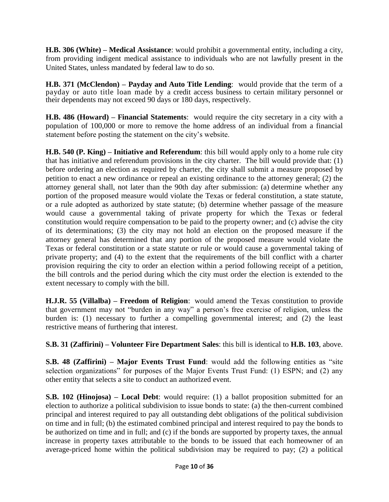**H.B. 306 (White) – Medical Assistance**: would prohibit a governmental entity, including a city, from providing indigent medical assistance to individuals who are not lawfully present in the United States, unless mandated by federal law to do so.

**H.B. 371 (McClendon) – Payday and Auto Title Lending**: would provide that the term of a payday or auto title loan made by a credit access business to certain military personnel or their dependents may not exceed 90 days or 180 days, respectively.

**H.B. 486 (Howard) – Financial Statements**: would require the city secretary in a city with a population of 100,000 or more to remove the home address of an individual from a financial statement before posting the statement on the city's website.

**H.B. 540 (P. King) – Initiative and Referendum**: this bill would apply only to a home rule city that has initiative and referendum provisions in the city charter. The bill would provide that: (1) before ordering an election as required by charter, the city shall submit a measure proposed by petition to enact a new ordinance or repeal an existing ordinance to the attorney general; (2) the attorney general shall, not later than the 90th day after submission: (a) determine whether any portion of the proposed measure would violate the Texas or federal constitution, a state statute, or a rule adopted as authorized by state statute; (b) determine whether passage of the measure would cause a governmental taking of private property for which the Texas or federal constitution would require compensation to be paid to the property owner; and (c) advise the city of its determinations; (3) the city may not hold an election on the proposed measure if the attorney general has determined that any portion of the proposed measure would violate the Texas or federal constitution or a state statute or rule or would cause a governmental taking of private property; and (4) to the extent that the requirements of the bill conflict with a charter provision requiring the city to order an election within a period following receipt of a petition, the bill controls and the period during which the city must order the election is extended to the extent necessary to comply with the bill.

**H.J.R. 55 (Villalba) – Freedom of Religion**: would amend the Texas constitution to provide that government may not "burden in any way" a person's free exercise of religion, unless the burden is: (1) necessary to further a compelling governmental interest; and (2) the least restrictive means of furthering that interest.

**S.B. 31 (Zaffirini) – Volunteer Fire Department Sales**: this bill is identical to **H.B. 103**, above.

**S.B. 48 (Zaffirini) – Major Events Trust Fund**: would add the following entities as "site selection organizations" for purposes of the Major Events Trust Fund: (1) ESPN; and (2) any other entity that selects a site to conduct an authorized event.

**S.B. 102 (Hinojosa) – Local Debt**: would require: (1) a ballot proposition submitted for an election to authorize a political subdivision to issue bonds to state: (a) the then-current combined principal and interest required to pay all outstanding debt obligations of the political subdivision on time and in full; (b) the estimated combined principal and interest required to pay the bonds to be authorized on time and in full; and (c) if the bonds are supported by property taxes, the annual increase in property taxes attributable to the bonds to be issued that each homeowner of an average-priced home within the political subdivision may be required to pay; (2) a political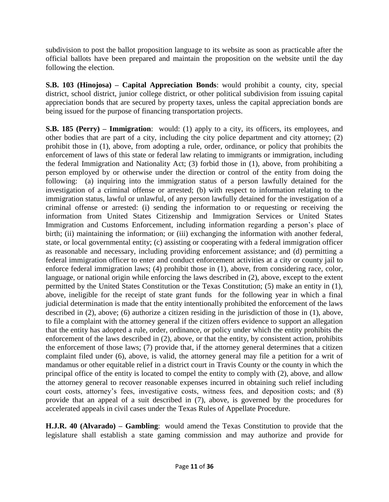subdivision to post the ballot proposition language to its website as soon as practicable after the official ballots have been prepared and maintain the proposition on the website until the day following the election.

**S.B. 103 (Hinojosa) – Capital Appreciation Bonds**: would prohibit a county, city, special district, school district, junior college district, or other political subdivision from issuing capital appreciation bonds that are secured by property taxes, unless the capital appreciation bonds are being issued for the purpose of financing transportation projects.

**S.B. 185 (Perry) – Immigration**: would: (1) apply to a city, its officers, its employees, and other bodies that are part of a city, including the city police department and city attorney; (2) prohibit those in (1), above, from adopting a rule, order, ordinance, or policy that prohibits the enforcement of laws of this state or federal law relating to immigrants or immigration, including the federal Immigration and Nationality Act; (3) forbid those in (1), above, from prohibiting a person employed by or otherwise under the direction or control of the entity from doing the following: (a) inquiring into the immigration status of a person lawfully detained for the investigation of a criminal offense or arrested; (b) with respect to information relating to the immigration status, lawful or unlawful, of any person lawfully detained for the investigation of a criminal offense or arrested: (i) sending the information to or requesting or receiving the information from United States Citizenship and Immigration Services or United States Immigration and Customs Enforcement, including information regarding a person's place of birth; (ii) maintaining the information; or (iii) exchanging the information with another federal, state, or local governmental entity; (c) assisting or cooperating with a federal immigration officer as reasonable and necessary, including providing enforcement assistance; and (d) permitting a federal immigration officer to enter and conduct enforcement activities at a city or county jail to enforce federal immigration laws; (4) prohibit those in (1), above, from considering race, color, language, or national origin while enforcing the laws described in (2), above, except to the extent permitted by the United States Constitution or the Texas Constitution; (5) make an entity in (1), above, ineligible for the receipt of state grant funds for the following year in which a final judicial determination is made that the entity intentionally prohibited the enforcement of the laws described in (2), above; (6) authorize a citizen residing in the jurisdiction of those in (1), above, to file a complaint with the attorney general if the citizen offers evidence to support an allegation that the entity has adopted a rule, order, ordinance, or policy under which the entity prohibits the enforcement of the laws described in (2), above, or that the entity, by consistent action, prohibits the enforcement of those laws; (7) provide that, if the attorney general determines that a citizen complaint filed under (6), above, is valid, the attorney general may file a petition for a writ of mandamus or other equitable relief in a district court in Travis County or the county in which the principal office of the entity is located to compel the entity to comply with (2), above, and allow the attorney general to recover reasonable expenses incurred in obtaining such relief including court costs, attorney's fees, investigative costs, witness fees, and deposition costs; and (8) provide that an appeal of a suit described in (7), above, is governed by the procedures for accelerated appeals in civil cases under the Texas Rules of Appellate Procedure.

**H.J.R. 40 (Alvarado) – Gambling**: would amend the Texas Constitution to provide that the legislature shall establish a state gaming commission and may authorize and provide for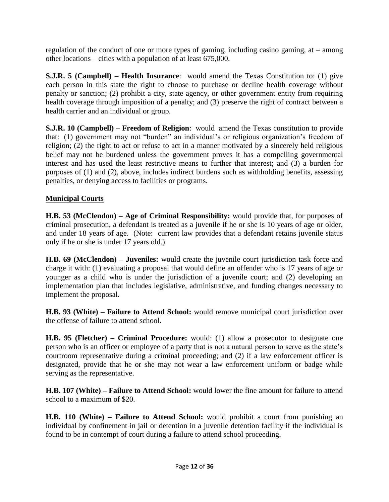regulation of the conduct of one or more types of gaming, including casino gaming, at – among other locations – cities with a population of at least 675,000.

**S.J.R. 5 (Campbell) – Health Insurance**: would amend the Texas Constitution to: (1) give each person in this state the right to choose to purchase or decline health coverage without penalty or sanction; (2) prohibit a city, state agency, or other government entity from requiring health coverage through imposition of a penalty; and (3) preserve the right of contract between a health carrier and an individual or group.

**S.J.R. 10 (Campbell) – Freedom of Religion**: would amend the Texas constitution to provide that: (1) government may not "burden" an individual's or religious organization's freedom of religion; (2) the right to act or refuse to act in a manner motivated by a sincerely held religious belief may not be burdened unless the government proves it has a compelling governmental interest and has used the least restrictive means to further that interest; and (3) a burden for purposes of (1) and (2), above, includes indirect burdens such as withholding benefits, assessing penalties, or denying access to facilities or programs.

#### **Municipal Courts**

**H.B. 53 (McClendon) – Age of Criminal Responsibility:** would provide that, for purposes of criminal prosecution, a defendant is treated as a juvenile if he or she is 10 years of age or older, and under 18 years of age. (Note: current law provides that a defendant retains juvenile status only if he or she is under 17 years old.)

**H.B. 69 (McClendon) – Juveniles:** would create the juvenile court jurisdiction task force and charge it with: (1) evaluating a proposal that would define an offender who is 17 years of age or younger as a child who is under the jurisdiction of a juvenile court; and (2) developing an implementation plan that includes legislative, administrative, and funding changes necessary to implement the proposal.

**H.B. 93 (White) – Failure to Attend School:** would remove municipal court jurisdiction over the offense of failure to attend school.

**H.B. 95 (Fletcher) – Criminal Procedure:** would: (1) allow a prosecutor to designate one person who is an officer or employee of a party that is not a natural person to serve as the state's courtroom representative during a criminal proceeding; and (2) if a law enforcement officer is designated, provide that he or she may not wear a law enforcement uniform or badge while serving as the representative.

**H.B. 107 (White) – Failure to Attend School:** would lower the fine amount for failure to attend school to a maximum of \$20.

**H.B. 110 (White) – Failure to Attend School:** would prohibit a court from punishing an individual by confinement in jail or detention in a juvenile detention facility if the individual is found to be in contempt of court during a failure to attend school proceeding.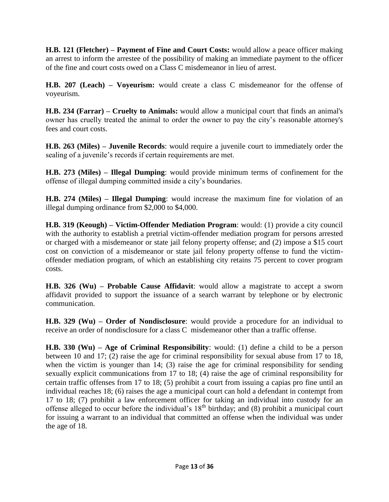**H.B. 121 (Fletcher) – Payment of Fine and Court Costs:** would allow a peace officer making an arrest to inform the arrestee of the possibility of making an immediate payment to the officer of the fine and court costs owed on a Class C misdemeanor in lieu of arrest.

**H.B. 207 (Leach) – Voyeurism:** would create a class C misdemeanor for the offense of voyeurism.

**H.B. 234 (Farrar) – Cruelty to Animals:** would allow a municipal court that finds an animal's owner has cruelly treated the animal to order the owner to pay the city's reasonable attorney's fees and court costs.

**H.B. 263 (Miles) – Juvenile Records**: would require a juvenile court to immediately order the sealing of a juvenile's records if certain requirements are met.

**H.B. 273 (Miles) – Illegal Dumping**: would provide minimum terms of confinement for the offense of illegal dumping committed inside a city's boundaries.

**H.B. 274 (Miles) – Illegal Dumping**: would increase the maximum fine for violation of an illegal dumping ordinance from \$2,000 to \$4,000.

**H.B. 319 (Keough) – Victim-Offender Mediation Program**: would: (1) provide a city council with the authority to establish a pretrial victim-offender mediation program for persons arrested or charged with a misdemeanor or state jail felony property offense; and (2) impose a \$15 court cost on conviction of a misdemeanor or state jail felony property offense to fund the victimoffender mediation program, of which an establishing city retains 75 percent to cover program costs.

**H.B. 326 (Wu) – Probable Cause Affidavit**: would allow a magistrate to accept a sworn affidavit provided to support the issuance of a search warrant by telephone or by electronic communication.

**H.B. 329 (Wu) – Order of Nondisclosure**: would provide a procedure for an individual to receive an order of nondisclosure for a class C misdemeanor other than a traffic offense.

**H.B. 330 (Wu) – Age of Criminal Responsibility**: would: (1) define a child to be a person between 10 and 17; (2) raise the age for criminal responsibility for sexual abuse from 17 to 18, when the victim is younger than 14; (3) raise the age for criminal responsibility for sending sexually explicit communications from 17 to 18; (4) raise the age of criminal responsibility for certain traffic offenses from 17 to 18; (5) prohibit a court from issuing a capias pro fine until an individual reaches 18; (6) raises the age a municipal court can hold a defendant in contempt from 17 to 18; (7) prohibit a law enforcement officer for taking an individual into custody for an offense alleged to occur before the individual's 18<sup>th</sup> birthday; and (8) prohibit a municipal court for issuing a warrant to an individual that committed an offense when the individual was under the age of 18.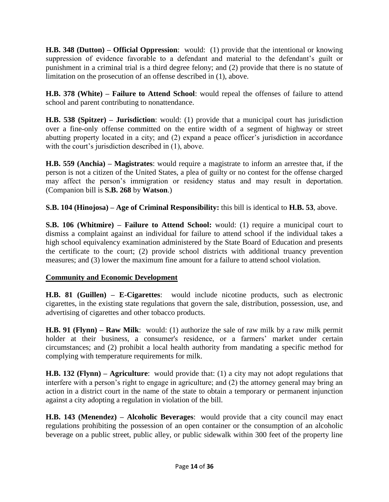**H.B. 348 (Dutton) – Official Oppression**: would: (1) provide that the intentional or knowing suppression of evidence favorable to a defendant and material to the defendant's guilt or punishment in a criminal trial is a third degree felony; and (2) provide that there is no statute of limitation on the prosecution of an offense described in (1), above.

**H.B. 378 (White) – Failure to Attend School**: would repeal the offenses of failure to attend school and parent contributing to nonattendance.

**H.B. 538 (Spitzer) – Jurisdiction**: would: (1) provide that a municipal court has jurisdiction over a fine-only offense committed on the entire width of a segment of highway or street abutting property located in a city; and (2) expand a peace officer's jurisdiction in accordance with the court's jurisdiction described in (1), above.

**H.B. 559 (Anchia) – Magistrates**: would require a magistrate to inform an arrestee that, if the person is not a citizen of the United States, a plea of guilty or no contest for the offense charged may affect the person's immigration or residency status and may result in deportation. (Companion bill is **S.B. 268** by **Watson**.)

**S.B. 104 (Hinojosa) – Age of Criminal Responsibility:** this bill is identical to **H.B. 53**, above.

**S.B. 106 (Whitmire) – Failure to Attend School:** would: (1) require a municipal court to dismiss a complaint against an individual for failure to attend school if the individual takes a high school equivalency examination administered by the State Board of Education and presents the certificate to the court; (2) provide school districts with additional truancy prevention measures; and (3) lower the maximum fine amount for a failure to attend school violation.

#### **Community and Economic Development**

**H.B. 81 (Guillen) – E-Cigarettes**: would include nicotine products, such as electronic cigarettes, in the existing state regulations that govern the sale, distribution, possession, use, and advertising of cigarettes and other tobacco products.

**H.B. 91 (Flynn) – Raw Milk**: would: (1) authorize the sale of raw milk by a raw milk permit holder at their business, a consumer's residence, or a farmers' market under certain circumstances; and (2) prohibit a local health authority from mandating a specific method for complying with temperature requirements for milk.

**H.B. 132 (Flynn) – Agriculture**: would provide that: (1) a city may not adopt regulations that interfere with a person's right to engage in agriculture; and (2) the attorney general may bring an action in a district court in the name of the state to obtain a temporary or permanent injunction against a city adopting a regulation in violation of the bill.

**H.B. 143 (Menendez) – Alcoholic Beverages**: would provide that a city council may enact regulations prohibiting the possession of an open container or the consumption of an alcoholic beverage on a public street, public alley, or public sidewalk within 300 feet of the property line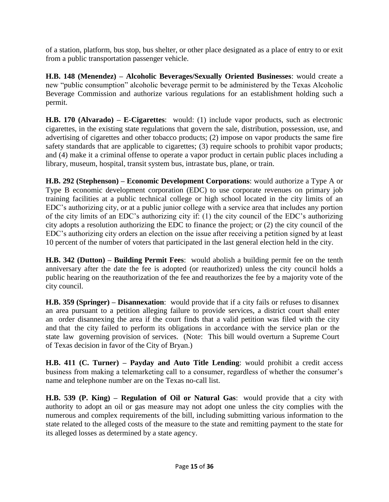of a station, platform, bus stop, bus shelter, or other place designated as a place of entry to or exit from a public transportation passenger vehicle.

**H.B. 148 (Menendez) – Alcoholic Beverages/Sexually Oriented Businesses**: would create a new "public consumption" alcoholic beverage permit to be administered by the Texas Alcoholic Beverage Commission and authorize various regulations for an establishment holding such a permit.

**H.B. 170 (Alvarado) – E-Cigarettes**: would: (1) include vapor products, such as electronic cigarettes, in the existing state regulations that govern the sale, distribution, possession, use, and advertising of cigarettes and other tobacco products; (2) impose on vapor products the same fire safety standards that are applicable to cigarettes; (3) require schools to prohibit vapor products; and (4) make it a criminal offense to operate a vapor product in certain public places including a library, museum, hospital, transit system bus, intrastate bus, plane, or train.

**H.B. 292 (Stephenson) – Economic Development Corporations**: would authorize a Type A or Type B economic development corporation (EDC) to use corporate revenues on primary job training facilities at a public technical college or high school located in the city limits of an EDC's authorizing city, or at a public junior college with a service area that includes any portion of the city limits of an EDC's authorizing city if: (1) the city council of the EDC's authorizing city adopts a resolution authorizing the EDC to finance the project; or (2) the city council of the EDC's authorizing city orders an election on the issue after receiving a petition signed by at least 10 percent of the number of voters that participated in the last general election held in the city.

**H.B. 342 (Dutton) – Building Permit Fees**: would abolish a building permit fee on the tenth anniversary after the date the fee is adopted (or reauthorized) unless the city council holds a public hearing on the reauthorization of the fee and reauthorizes the fee by a majority vote of the city council.

**H.B. 359 (Springer) – Disannexation**: would provide that if a city fails or refuses to disannex an area pursuant to a petition alleging failure to provide services, a district court shall enter an order disannexing the area if the court finds that a valid petition was filed with the city and that the city failed to perform its obligations in accordance with the service plan or the state law governing provision of services. (Note: This bill would overturn a Supreme Court of Texas decision in favor of the City of Bryan.)

**H.B. 411 (C. Turner) – Payday and Auto Title Lending**: would prohibit a credit access business from making a telemarketing call to a consumer, regardless of whether the consumer's name and telephone number are on the Texas no-call list.

**H.B. 539 (P. King) – Regulation of Oil or Natural Gas**: would provide that a city with authority to adopt an oil or gas measure may not adopt one unless the city complies with the numerous and complex requirements of the bill, including submitting various information to the state related to the alleged costs of the measure to the state and remitting payment to the state for its alleged losses as determined by a state agency.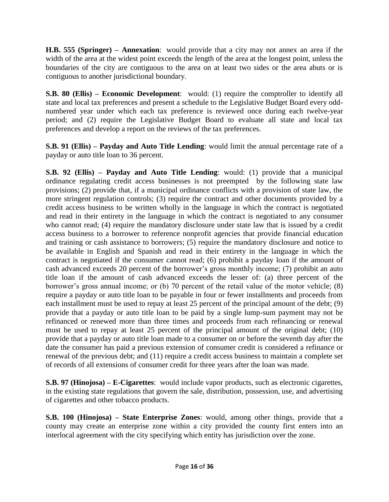**H.B. 555 (Springer) – Annexation**: would provide that a city may not annex an area if the width of the area at the widest point exceeds the length of the area at the longest point, unless the boundaries of the city are contiguous to the area on at least two sides or the area abuts or is contiguous to another jurisdictional boundary.

**S.B. 80 (Ellis) – Economic Development**: would: (1) require the comptroller to identify all state and local tax preferences and present a schedule to the Legislative Budget Board every oddnumbered year under which each tax preference is reviewed once during each twelve-year period; and (2) require the Legislative Budget Board to evaluate all state and local tax preferences and develop a report on the reviews of the tax preferences.

**S.B. 91 (Ellis) – Payday and Auto Title Lending**: would limit the annual percentage rate of a payday or auto title loan to 36 percent.

**S.B. 92 (Ellis) – Payday and Auto Title Lending**: would: (1) provide that a municipal ordinance regulating credit access businesses is not preempted by the following state law provisions; (2) provide that, if a municipal ordinance conflicts with a provision of state law, the more stringent regulation controls; (3) require the contract and other documents provided by a credit access business to be written wholly in the language in which the contract is negotiated and read in their entirety in the language in which the contract is negotiated to any consumer who cannot read; (4) require the mandatory disclosure under state law that is issued by a credit access business to a borrower to reference nonprofit agencies that provide financial education and training or cash assistance to borrowers; (5) require the mandatory disclosure and notice to be available in English and Spanish and read in their entirety in the language in which the contract is negotiated if the consumer cannot read; (6) prohibit a payday loan if the amount of cash advanced exceeds 20 percent of the borrower's gross monthly income; (7) prohibit an auto title loan if the amount of cash advanced exceeds the lesser of: (a) three percent of the borrower's gross annual income; or (b) 70 percent of the retail value of the motor vehicle; (8) require a payday or auto title loan to be payable in four or fewer installments and proceeds from each installment must be used to repay at least 25 percent of the principal amount of the debt; (9) provide that a payday or auto title loan to be paid by a single lump-sum payment may not be refinanced or renewed more than three times and proceeds from each refinancing or renewal must be used to repay at least 25 percent of the principal amount of the original debt; (10) provide that a payday or auto title loan made to a consumer on or before the seventh day after the date the consumer has paid a previous extension of consumer credit is considered a refinance or renewal of the previous debt; and (11) require a credit access business to maintain a complete set of records of all extensions of consumer credit for three years after the loan was made.

**S.B. 97 (Hinojosa) – E-Cigarettes**: would include vapor products, such as electronic cigarettes, in the existing state regulations that govern the sale, distribution, possession, use, and advertising of cigarettes and other tobacco products.

**S.B. 100 (Hinojosa) – State Enterprise Zones**: would, among other things, provide that a county may create an enterprise zone within a city provided the county first enters into an interlocal agreement with the city specifying which entity has jurisdiction over the zone.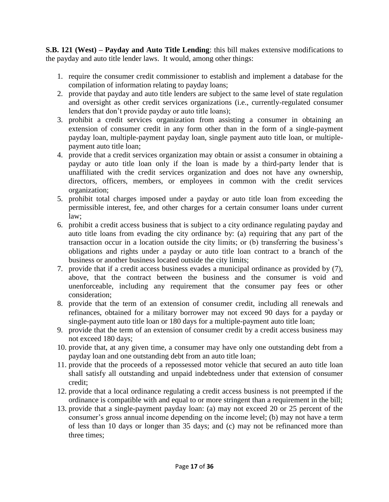**S.B. 121 (West) – Payday and Auto Title Lending**: this bill makes extensive modifications to the payday and auto title lender laws. It would, among other things:

- 1. require the consumer credit commissioner to establish and implement a database for the compilation of information relating to payday loans;
- 2. provide that payday and auto title lenders are subject to the same level of state regulation and oversight as other credit services organizations (i.e., currently-regulated consumer lenders that don't provide payday or auto title loans);
- 3. prohibit a credit services organization from assisting a consumer in obtaining an extension of consumer credit in any form other than in the form of a single-payment payday loan, multiple-payment payday loan, single payment auto title loan, or multiplepayment auto title loan;
- 4. provide that a credit services organization may obtain or assist a consumer in obtaining a payday or auto title loan only if the loan is made by a third-party lender that is unaffiliated with the credit services organization and does not have any ownership, directors, officers, members, or employees in common with the credit services organization;
- 5. prohibit total charges imposed under a payday or auto title loan from exceeding the permissible interest, fee, and other charges for a certain consumer loans under current law;
- 6. prohibit a credit access business that is subject to a city ordinance regulating payday and auto title loans from evading the city ordinance by: (a) requiring that any part of the transaction occur in a location outside the city limits; or (b) transferring the business's obligations and rights under a payday or auto title loan contract to a branch of the business or another business located outside the city limits;
- 7. provide that if a credit access business evades a municipal ordinance as provided by (7), above, that the contract between the business and the consumer is void and unenforceable, including any requirement that the consumer pay fees or other consideration;
- 8. provide that the term of an extension of consumer credit, including all renewals and refinances, obtained for a military borrower may not exceed 90 days for a payday or single-payment auto title loan or 180 days for a multiple-payment auto title loan;
- 9. provide that the term of an extension of consumer credit by a credit access business may not exceed 180 days;
- 10. provide that, at any given time, a consumer may have only one outstanding debt from a payday loan and one outstanding debt from an auto title loan;
- 11. provide that the proceeds of a repossessed motor vehicle that secured an auto title loan shall satisfy all outstanding and unpaid indebtedness under that extension of consumer credit;
- 12. provide that a local ordinance regulating a credit access business is not preempted if the ordinance is compatible with and equal to or more stringent than a requirement in the bill;
- 13. provide that a single-payment payday loan: (a) may not exceed 20 or 25 percent of the consumer's gross annual income depending on the income level; (b) may not have a term of less than 10 days or longer than 35 days; and (c) may not be refinanced more than three times;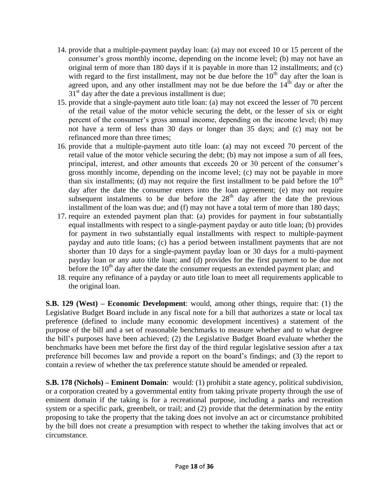- 14. provide that a multiple-payment payday loan: (a) may not exceed 10 or 15 percent of the consumer's gross monthly income, depending on the income level; (b) may not have an original term of more than 180 days if it is payable in more than 12 installments; and (c) with regard to the first installment, may not be due before the  $10<sup>th</sup>$  day after the loan is agreed upon, and any other installment may not be due before the  $14<sup>th</sup>$  day or after the  $31<sup>st</sup>$  day after the date a previous installment is due;
- 15. provide that a single-payment auto title loan: (a) may not exceed the lesser of 70 percent of the retail value of the motor vehicle securing the debt, or the lesser of six or eight percent of the consumer's gross annual income, depending on the income level; (b) may not have a term of less than 30 days or longer than 35 days; and (c) may not be refinanced more than three times;
- 16. provide that a multiple-payment auto title loan: (a) may not exceed 70 percent of the retail value of the motor vehicle securing the debt; (b) may not impose a sum of all fees, principal, interest, and other amounts that exceeds 20 or 30 percent of the consumer's gross monthly income, depending on the income level; (c) may not be payable in more than six installments; (d) may not require the first installment to be paid before the  $10<sup>th</sup>$ day after the date the consumer enters into the loan agreement; (e) may not require subsequent instalments to be due before the  $28<sup>th</sup>$  day after the date the previous installment of the loan was due; and (f) may not have a total term of more than 180 days;
- 17. require an extended payment plan that: (a) provides for payment in four substantially equal installments with respect to a single-payment payday or auto title loan; (b) provides for payment in two substantially equal installments with respect to multiple-payment payday and auto title loans; (c) has a period between installment payments that are not shorter than 10 days for a single-payment payday loan or 30 days for a multi-payment payday loan or any auto title loan; and (d) provides for the first payment to be due not before the  $10<sup>th</sup>$  day after the date the consumer requests an extended payment plan; and
- 18. require any refinance of a payday or auto title loan to meet all requirements applicable to the original loan.

**S.B. 129 (West) – Economic Development**: would, among other things, require that: (1) the Legislative Budget Board include in any fiscal note for a bill that authorizes a state or local tax preference (defined to include many economic development incentives) a statement of the purpose of the bill and a set of reasonable benchmarks to measure whether and to what degree the bill's purposes have been achieved; (2) the Legislative Budget Board evaluate whether the benchmarks have been met before the first day of the third regular legislative session after a tax preference bill becomes law and provide a report on the board's findings; and (3) the report to contain a review of whether the tax preference statute should be amended or repealed.

**S.B. 178 (Nichols) – Eminent Domain**: would: (1) prohibit a state agency, political subdivision, or a corporation created by a governmental entity from taking private property through the use of eminent domain if the taking is for a recreational purpose, including a parks and recreation system or a specific park, greenbelt, or trail; and (2) provide that the determination by the entity proposing to take the property that the taking does not involve an act or circumstance prohibited by the bill does not create a presumption with respect to whether the taking involves that act or circumstance.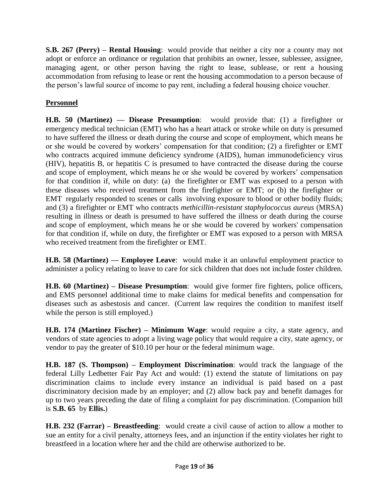**S.B. 267 (Perry) – Rental Housing**: would provide that neither a city nor a county may not adopt or enforce an ordinance or regulation that prohibits an owner, lessee, sublessee, assignee, managing agent, or other person having the right to lease, sublease, or rent a housing accommodation from refusing to lease or rent the housing accommodation to a person because of the person's lawful source of income to pay rent, including a federal housing choice voucher.

# **Personnel**

**H.B. 50 (Martinez) — Disease Presumption**: would provide that: (1) a firefighter or emergency medical technician (EMT) who has a heart attack or stroke while on duty is presumed to have suffered the illness or death during the course and scope of employment, which means he or she would be covered by workers' compensation for that condition; (2) a firefighter or EMT who contracts acquired immune deficiency syndrome (AIDS), human immunodeficiency virus (HIV), hepatitis B, or hepatitis C is presumed to have contracted the disease during the course and scope of employment, which means he or she would be covered by workers' compensation for that condition if, while on duty: (a) the firefighter or EMT was exposed to a person with these diseases who received treatment from the firefighter or EMT; or (b) the firefighter or EMT regularly responded to scenes or calls involving exposure to blood or other bodily fluids; and (3) a firefighter or EMT who contracts *methicillin-resistant staphylococcus aureus* (MRSA) resulting in illness or death is presumed to have suffered the illness or death during the course and scope of employment, which means he or she would be covered by workers' compensation for that condition if, while on duty, the firefighter or EMT was exposed to a person with MRSA who received treatment from the firefighter or EMT.

**H.B. 58 (Martinez) — Employee Leave**: would make it an unlawful employment practice to administer a policy relating to leave to care for sick children that does not include foster children.

**H.B. 60 (Martinez) – Disease Presumption**: would give former fire fighters, police officers, and EMS personnel additional time to make claims for medical benefits and compensation for diseases such as asbestosis and cancer. (Current law requires the condition to manifest itself while the person is still employed.)

**H.B. 174 (Martinez Fischer) – Minimum Wage**: would require a city, a state agency, and vendors of state agencies to adopt a living wage policy that would require a city, state agency, or vendor to pay the greater of \$10.10 per hour or the federal minimum wage.

**H.B. 187 (S. Thompson) – Employment Discrimination**: would track the language of the federal Lilly Ledbetter Fair Pay Act and would: (1) extend the statute of limitations on pay discrimination claims to include every instance an individual is paid based on a past discriminatory decision made by an employer; and (2) allow back pay and benefit damages for up to two years preceding the date of filing a complaint for pay discrimination. (Companion bill is **S.B. 65** by **Ellis.**)

**H.B. 232 (Farrar) – Breastfeeding**: would create a civil cause of action to allow a mother to sue an entity for a civil penalty, attorneys fees, and an injunction if the entity violates her right to breastfeed in a location where her and the child are otherwise authorized to be.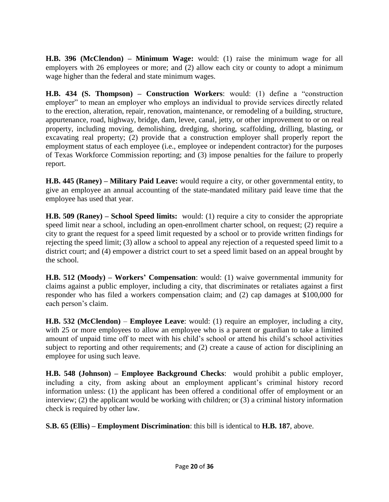**H.B. 396 (McClendon) – Minimum Wage:** would: (1) raise the minimum wage for all employers with 26 employees or more; and (2) allow each city or county to adopt a minimum wage higher than the federal and state minimum wages.

**H.B. 434 (S. Thompson) – Construction Workers**: would: (1) define a "construction employer" to mean an employer who employs an individual to provide services directly related to the erection, alteration, repair, renovation, maintenance, or remodeling of a building, structure, appurtenance, road, highway, bridge, dam, levee, canal, jetty, or other improvement to or on real property, including moving, demolishing, dredging, shoring, scaffolding, drilling, blasting, or excavating real property; (2) provide that a construction employer shall properly report the employment status of each employee (i.e., employee or independent contractor) for the purposes of Texas Workforce Commission reporting; and (3) impose penalties for the failure to properly report.

**H.B. 445 (Raney) – Military Paid Leave:** would require a city, or other governmental entity, to give an employee an annual accounting of the state-mandated military paid leave time that the employee has used that year.

**H.B. 509 (Raney) – School Speed limits:** would: (1) require a city to consider the appropriate speed limit near a school, including an open-enrollment charter school, on request; (2) require a city to grant the request for a speed limit requested by a school or to provide written findings for rejecting the speed limit; (3) allow a school to appeal any rejection of a requested speed limit to a district court; and (4) empower a district court to set a speed limit based on an appeal brought by the school.

**H.B. 512 (Moody) – Workers' Compensation**: would: (1) waive governmental immunity for claims against a public employer, including a city, that discriminates or retaliates against a first responder who has filed a workers compensation claim; and (2) cap damages at \$100,000 for each person's claim.

**H.B. 532 (McClendon)** – **Employee Leave**: would: (1) require an employer, including a city, with 25 or more employees to allow an employee who is a parent or guardian to take a limited amount of unpaid time off to meet with his child's school or attend his child's school activities subject to reporting and other requirements; and (2) create a cause of action for disciplining an employee for using such leave.

**H.B. 548 (Johnson) – Employee Background Checks**: would prohibit a public employer, including a city, from asking about an employment applicant's criminal history record information unless: (1) the applicant has been offered a conditional offer of employment or an interview; (2) the applicant would be working with children; or (3) a criminal history information check is required by other law.

**S.B. 65 (Ellis) – Employment Discrimination**: this bill is identical to **H.B. 187**, above.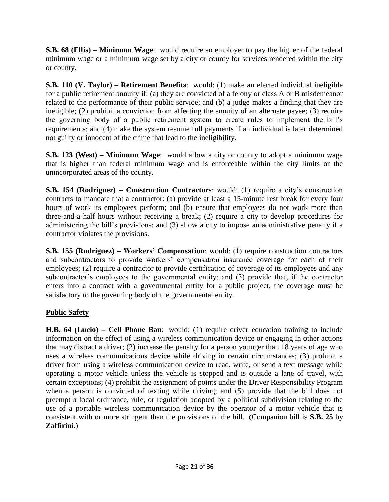**S.B. 68 (Ellis) – Minimum Wage**: would require an employer to pay the higher of the federal minimum wage or a minimum wage set by a city or county for services rendered within the city or county.

**S.B. 110 (V. Taylor) – Retirement Benefits**: would: (1) make an elected individual ineligible for a public retirement annuity if: (a) they are convicted of a felony or class A or B misdemeanor related to the performance of their public service; and (b) a judge makes a finding that they are ineligible; (2) prohibit a conviction from affecting the annuity of an alternate payee; (3) require the governing body of a public retirement system to create rules to implement the bill's requirements; and (4) make the system resume full payments if an individual is later determined not guilty or innocent of the crime that lead to the ineligibility.

**S.B. 123 (West) – Minimum Wage**: would allow a city or county to adopt a minimum wage that is higher than federal minimum wage and is enforceable within the city limits or the unincorporated areas of the county.

**S.B. 154 (Rodriguez) – Construction Contractors**: would: (1) require a city's construction contracts to mandate that a contractor: (a) provide at least a 15-minute rest break for every four hours of work its employees perform; and (b) ensure that employees do not work more than three-and-a-half hours without receiving a break; (2) require a city to develop procedures for administering the bill's provisions; and (3) allow a city to impose an administrative penalty if a contractor violates the provisions.

**S.B. 155 (Rodriguez) – Workers' Compensation**: would: (1) require construction contractors and subcontractors to provide workers' compensation insurance coverage for each of their employees; (2) require a contractor to provide certification of coverage of its employees and any subcontractor's employees to the governmental entity; and (3) provide that, if the contractor enters into a contract with a governmental entity for a public project, the coverage must be satisfactory to the governing body of the governmental entity.

# **Public Safety**

**H.B. 64 (Lucio) – Cell Phone Ban**: would: (1) require driver education training to include information on the effect of using a wireless communication device or engaging in other actions that may distract a driver; (2) increase the penalty for a person younger than 18 years of age who uses a wireless communications device while driving in certain circumstances; (3) prohibit a driver from using a wireless communication device to read, write, or send a text message while operating a motor vehicle unless the vehicle is stopped and is outside a lane of travel, with certain exceptions; (4) prohibit the assignment of points under the Driver Responsibility Program when a person is convicted of texting while driving; and (5) provide that the bill does not preempt a local ordinance, rule, or regulation adopted by a political subdivision relating to the use of a portable wireless communication device by the operator of a motor vehicle that is consistent with or more stringent than the provisions of the bill. (Companion bill is **S.B. 25** by **Zaffirini**.)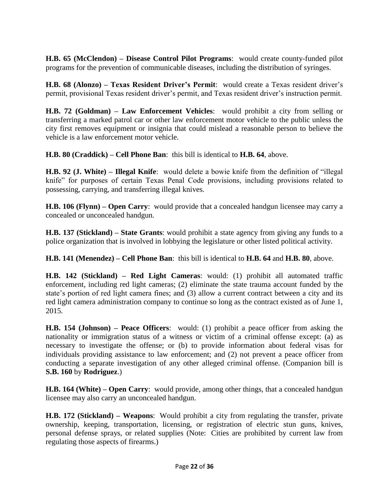**H.B. 65 (McClendon) – Disease Control Pilot Programs**: would create county-funded pilot programs for the prevention of communicable diseases, including the distribution of syringes.

**H.B. 68 (Alonzo) – Texas Resident Driver's Permit**: would create a Texas resident driver's permit, provisional Texas resident driver's permit, and Texas resident driver's instruction permit.

**H.B. 72 (Goldman) – Law Enforcement Vehicles**: would prohibit a city from selling or transferring a marked patrol car or other law enforcement motor vehicle to the public unless the city first removes equipment or insignia that could mislead a reasonable person to believe the vehicle is a law enforcement motor vehicle.

**H.B. 80 (Craddick) – Cell Phone Ban**: this bill is identical to **H.B. 64**, above.

**H.B. 92 (J. White) – Illegal Knife**: would delete a bowie knife from the definition of "illegal knife" for purposes of certain Texas Penal Code provisions, including provisions related to possessing, carrying, and transferring illegal knives.

**H.B. 106 (Flynn) – Open Carry**: would provide that a concealed handgun licensee may carry a concealed or unconcealed handgun.

**H.B. 137 (Stickland) – State Grants**: would prohibit a state agency from giving any funds to a police organization that is involved in lobbying the legislature or other listed political activity.

**H.B. 141 (Menendez) – Cell Phone Ban**: this bill is identical to **H.B. 64** and **H.B. 80**, above.

**H.B. 142 (Stickland) – Red Light Cameras**: would: (1) prohibit all automated traffic enforcement, including red light cameras; (2) eliminate the state trauma account funded by the state's portion of red light camera fines; and (3) allow a current contract between a city and its red light camera administration company to continue so long as the contract existed as of June 1, 2015.

**H.B. 154 (Johnson) – Peace Officers**: would: (1) prohibit a peace officer from asking the nationality or immigration status of a witness or victim of a criminal offense except: (a) as necessary to investigate the offense; or (b) to provide information about federal visas for individuals providing assistance to law enforcement; and (2) not prevent a peace officer from conducting a separate investigation of any other alleged criminal offense. (Companion bill is **S.B. 160** by **Rodriguez**.)

**H.B. 164 (White) – Open Carry**: would provide, among other things, that a concealed handgun licensee may also carry an unconcealed handgun.

**H.B. 172 (Stickland) – Weapons**: Would prohibit a city from regulating the transfer, private ownership, keeping, transportation, licensing, or registration of electric stun guns, knives, personal defense sprays, or related supplies (Note: Cities are prohibited by current law from regulating those aspects of firearms.)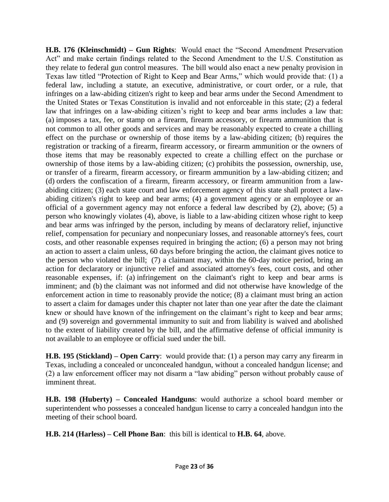**H.B. 176 (Kleinschmidt) – Gun Rights**: Would enact the "Second Amendment Preservation Act" and make certain findings related to the Second Amendment to the U.S. Constitution as they relate to federal gun control measures. The bill would also enact a new penalty provision in Texas law titled "Protection of Right to Keep and Bear Arms," which would provide that: (1) a federal law, including a statute, an executive, administrative, or court order, or a rule, that infringes on a law-abiding citizen's right to keep and bear arms under the Second Amendment to the United States or Texas Constitution is invalid and not enforceable in this state; (2) a federal law that infringes on a law-abiding citizen's right to keep and bear arms includes a law that: (a) imposes a tax, fee, or stamp on a firearm, firearm accessory, or firearm ammunition that is not common to all other goods and services and may be reasonably expected to create a chilling effect on the purchase or ownership of those items by a law-abiding citizen; (b) requires the registration or tracking of a firearm, firearm accessory, or firearm ammunition or the owners of those items that may be reasonably expected to create a chilling effect on the purchase or ownership of those items by a law-abiding citizen; (c) prohibits the possession, ownership, use, or transfer of a firearm, firearm accessory, or firearm ammunition by a law-abiding citizen; and (d) orders the confiscation of a firearm, firearm accessory, or firearm ammunition from a lawabiding citizen; (3) each state court and law enforcement agency of this state shall protect a lawabiding citizen's right to keep and bear arms; (4) a government agency or an employee or an official of a government agency may not enforce a federal law described by (2), above; (5) a person who knowingly violates (4), above, is liable to a law-abiding citizen whose right to keep and bear arms was infringed by the person, including by means of declaratory relief, injunctive relief, compensation for pecuniary and nonpecuniary losses, and reasonable attorney's fees, court costs, and other reasonable expenses required in bringing the action; (6) a person may not bring an action to assert a claim unless, 60 days before bringing the action, the claimant gives notice to the person who violated the bill; (7) a claimant may, within the 60-day notice period, bring an action for declaratory or injunctive relief and associated attorney's fees, court costs, and other reasonable expenses, if: (a) infringement on the claimant's right to keep and bear arms is imminent; and (b) the claimant was not informed and did not otherwise have knowledge of the enforcement action in time to reasonably provide the notice; (8) a claimant must bring an action to assert a claim for damages under this chapter not later than one year after the date the claimant knew or should have known of the infringement on the claimant's right to keep and bear arms; and (9) sovereign and governmental immunity to suit and from liability is waived and abolished to the extent of liability created by the bill, and the affirmative defense of official immunity is not available to an employee or official sued under the bill.

**H.B. 195 (Stickland) – Open Carry**: would provide that: (1) a person may carry any firearm in Texas, including a concealed or unconcealed handgun, without a concealed handgun license; and (2) a law enforcement officer may not disarm a "law abiding" person without probably cause of imminent threat.

**H.B. 198 (Huberty) – Concealed Handguns**: would authorize a school board member or superintendent who possesses a concealed handgun license to carry a concealed handgun into the meeting of their school board.

**H.B. 214 (Harless) – Cell Phone Ban**: this bill is identical to **H.B. 64**, above.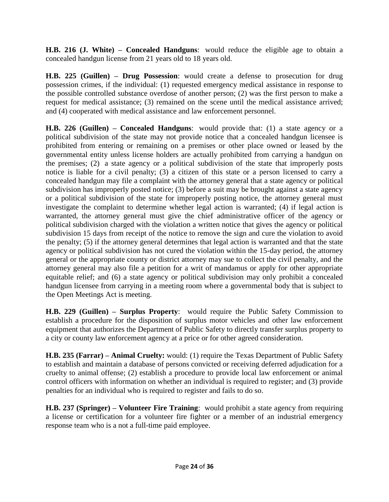**H.B. 216 (J. White) – Concealed Handguns**: would reduce the eligible age to obtain a concealed handgun license from 21 years old to 18 years old.

**H.B. 225 (Guillen) – Drug Possession**: would create a defense to prosecution for drug possession crimes, if the individual: (1) requested emergency medical assistance in response to the possible controlled substance overdose of another person; (2) was the first person to make a request for medical assistance; (3) remained on the scene until the medical assistance arrived; and (4) cooperated with medical assistance and law enforcement personnel.

**H.B. 226 (Guillen) – Concealed Handguns**: would provide that: (1) a state agency or a political subdivision of the state may not provide notice that a concealed handgun licensee is prohibited from entering or remaining on a premises or other place owned or leased by the governmental entity unless license holders are actually prohibited from carrying a handgun on the premises; (2) a state agency or a political subdivision of the state that improperly posts notice is liable for a civil penalty; (3) a citizen of this state or a person licensed to carry a concealed handgun may file a complaint with the attorney general that a state agency or political subdivision has improperly posted notice; (3) before a suit may be brought against a state agency or a political subdivision of the state for improperly posting notice, the attorney general must investigate the complaint to determine whether legal action is warranted; (4) if legal action is warranted, the attorney general must give the chief administrative officer of the agency or political subdivision charged with the violation a written notice that gives the agency or political subdivision 15 days from receipt of the notice to remove the sign and cure the violation to avoid the penalty; (5) if the attorney general determines that legal action is warranted and that the state agency or political subdivision has not cured the violation within the 15-day period, the attorney general or the appropriate county or district attorney may sue to collect the civil penalty, and the attorney general may also file a petition for a writ of mandamus or apply for other appropriate equitable relief; and (6) a state agency or political subdivision may only prohibit a concealed handgun licensee from carrying in a meeting room where a governmental body that is subject to the Open Meetings Act is meeting.

**H.B. 229 (Guillen) – Surplus Property**: would require the Public Safety Commission to establish a procedure for the disposition of surplus motor vehicles and other law enforcement equipment that authorizes the Department of Public Safety to directly transfer surplus property to a city or county law enforcement agency at a price or for other agreed consideration.

**H.B. 235 (Farrar) – Animal Cruelty:** would: (1) require the Texas Department of Public Safety to establish and maintain a database of persons convicted or receiving deferred adjudication for a cruelty to animal offense; (2) establish a procedure to provide local law enforcement or animal control officers with information on whether an individual is required to register; and (3) provide penalties for an individual who is required to register and fails to do so.

**H.B. 237 (Springer) – Volunteer Fire Training**: would prohibit a state agency from requiring a license or certification for a volunteer fire fighter or a member of an industrial emergency response team who is a not a full-time paid employee.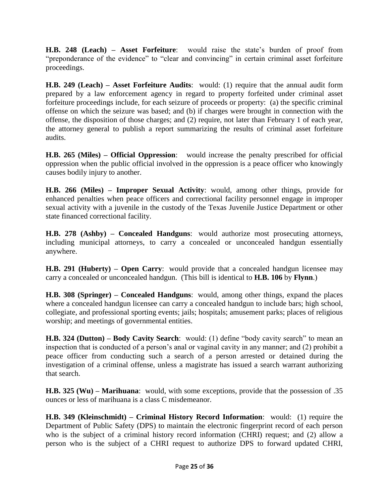**H.B. 248 (Leach) – Asset Forfeiture**: would raise the state's burden of proof from "preponderance of the evidence" to "clear and convincing" in certain criminal asset forfeiture proceedings.

**H.B. 249 (Leach) – Asset Forfeiture Audits**: would: (1) require that the annual audit form prepared by a law enforcement agency in regard to property forfeited under criminal asset forfeiture proceedings include, for each seizure of proceeds or property: (a) the specific criminal offense on which the seizure was based; and (b) if charges were brought in connection with the offense, the disposition of those charges; and (2) require, not later than February 1 of each year, the attorney general to publish a report summarizing the results of criminal asset forfeiture audits.

**H.B. 265 (Miles) – Official Oppression**: would increase the penalty prescribed for official oppression when the public official involved in the oppression is a peace officer who knowingly causes bodily injury to another.

**H.B. 266 (Miles) – Improper Sexual Activity**: would, among other things, provide for enhanced penalties when peace officers and correctional facility personnel engage in improper sexual activity with a juvenile in the custody of the Texas Juvenile Justice Department or other state financed correctional facility.

**H.B. 278 (Ashby) – Concealed Handguns**: would authorize most prosecuting attorneys, including municipal attorneys, to carry a concealed or unconcealed handgun essentially anywhere.

**H.B. 291 (Huberty) – Open Carry**: would provide that a concealed handgun licensee may carry a concealed or unconcealed handgun. (This bill is identical to **H.B. 106** by **Flynn**.)

**H.B. 308 (Springer) – Concealed Handguns**: would, among other things, expand the places where a concealed handgun licensee can carry a concealed handgun to include bars; high school, collegiate, and professional sporting events; jails; hospitals; amusement parks; places of religious worship; and meetings of governmental entities.

**H.B. 324 (Dutton) – Body Cavity Search**: would: (1) define "body cavity search" to mean an inspection that is conducted of a person's anal or vaginal cavity in any manner; and (2) prohibit a peace officer from conducting such a search of a person arrested or detained during the investigation of a criminal offense, unless a magistrate has issued a search warrant authorizing that search.

**H.B. 325 (Wu) – Marihuana**: would, with some exceptions, provide that the possession of .35 ounces or less of marihuana is a class C misdemeanor.

**H.B. 349 (Kleinschmidt) – Criminal History Record Information**: would: (1) require the Department of Public Safety (DPS) to maintain the electronic fingerprint record of each person who is the subject of a criminal history record information (CHRI) request; and (2) allow a person who is the subject of a CHRI request to authorize DPS to forward updated CHRI,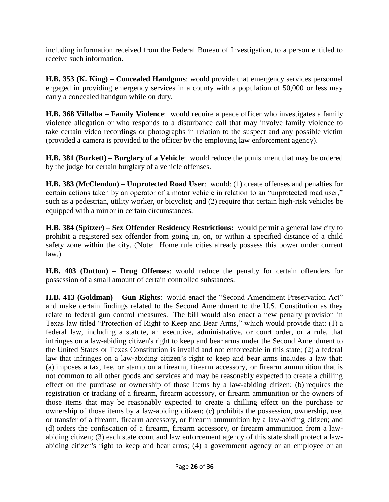including information received from the Federal Bureau of Investigation, to a person entitled to receive such information.

**H.B. 353 (K. King) – Concealed Handguns**: would provide that emergency services personnel engaged in providing emergency services in a county with a population of 50,000 or less may carry a concealed handgun while on duty.

**H.B. 368 Villalba – Family Violence**: would require a peace officer who investigates a family violence allegation or who responds to a disturbance call that may involve family violence to take certain video recordings or photographs in relation to the suspect and any possible victim (provided a camera is provided to the officer by the employing law enforcement agency).

**H.B. 381 (Burkett) – Burglary of a Vehicle**: would reduce the punishment that may be ordered by the judge for certain burglary of a vehicle offenses.

**H.B. 383 (McClendon) – Unprotected Road User**: would: (1) create offenses and penalties for certain actions taken by an operator of a motor vehicle in relation to an "unprotected road user," such as a pedestrian, utility worker, or bicyclist; and (2) require that certain high-risk vehicles be equipped with a mirror in certain circumstances.

**H.B. 384 (Spitzer) – Sex Offender Residency Restrictions:** would permit a general law city to prohibit a registered sex offender from going in, on, or within a specified distance of a child safety zone within the city. (Note: Home rule cities already possess this power under current law.)

**H.B. 403 (Dutton) – Drug Offenses**: would reduce the penalty for certain offenders for possession of a small amount of certain controlled substances.

**H.B. 413 (Goldman) – Gun Rights**: would enact the "Second Amendment Preservation Act" and make certain findings related to the Second Amendment to the U.S. Constitution as they relate to federal gun control measures. The bill would also enact a new penalty provision in Texas law titled "Protection of Right to Keep and Bear Arms," which would provide that: (1) a federal law, including a statute, an executive, administrative, or court order, or a rule, that infringes on a law-abiding citizen's right to keep and bear arms under the Second Amendment to the United States or Texas Constitution is invalid and not enforceable in this state; (2) a federal law that infringes on a law-abiding citizen's right to keep and bear arms includes a law that: (a) imposes a tax, fee, or stamp on a firearm, firearm accessory, or firearm ammunition that is not common to all other goods and services and may be reasonably expected to create a chilling effect on the purchase or ownership of those items by a law-abiding citizen; (b) requires the registration or tracking of a firearm, firearm accessory, or firearm ammunition or the owners of those items that may be reasonably expected to create a chilling effect on the purchase or ownership of those items by a law-abiding citizen; (c) prohibits the possession, ownership, use, or transfer of a firearm, firearm accessory, or firearm ammunition by a law-abiding citizen; and (d) orders the confiscation of a firearm, firearm accessory, or firearm ammunition from a lawabiding citizen; (3) each state court and law enforcement agency of this state shall protect a lawabiding citizen's right to keep and bear arms; (4) a government agency or an employee or an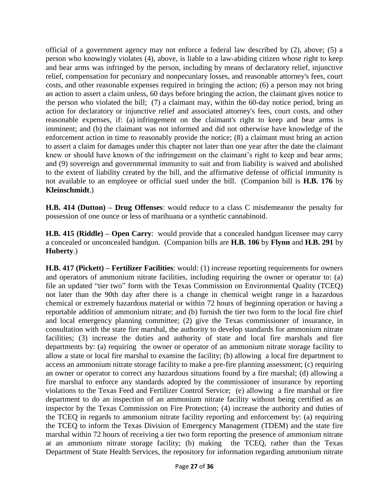official of a government agency may not enforce a federal law described by (2), above; (5) a person who knowingly violates (4), above, is liable to a law-abiding citizen whose right to keep and bear arms was infringed by the person, including by means of declaratory relief, injunctive relief, compensation for pecuniary and nonpecuniary losses, and reasonable attorney's fees, court costs, and other reasonable expenses required in bringing the action; (6) a person may not bring an action to assert a claim unless, 60 days before bringing the action, the claimant gives notice to the person who violated the bill; (7) a claimant may, within the 60-day notice period, bring an action for declaratory or injunctive relief and associated attorney's fees, court costs, and other reasonable expenses, if: (a) infringement on the claimant's right to keep and bear arms is imminent; and (b) the claimant was not informed and did not otherwise have knowledge of the enforcement action in time to reasonably provide the notice; (8) a claimant must bring an action to assert a claim for damages under this chapter not later than one year after the date the claimant knew or should have known of the infringement on the claimant's right to keep and bear arms; and (9) sovereign and governmental immunity to suit and from liability is waived and abolished to the extent of liability created by the bill, and the affirmative defense of official immunity is not available to an employee or official sued under the bill. (Companion bill is **H.B. 176** by **Kleinschmidt**.)

**H.B. 414 (Dutton) – Drug Offenses**: would reduce to a class C misdemeanor the penalty for possession of one ounce or less of marihuana or a synthetic cannabinoid.

**H.B. 415 (Riddle) – Open Carry**: would provide that a concealed handgun licensee may carry a concealed or unconcealed handgun. (Companion bills are **H.B. 106** by **Flynn** and **H.B. 291** by **Huberty**.)

**H.B. 417 (Pickett) – Fertilizer Facilities**: would: (1) increase reporting requirements for owners and operators of ammonium nitrate facilities, including requiring the owner or operator to: (a) file an updated "tier two" form with the Texas Commission on Environmental Quality (TCEQ) not later than the 90th day after there is a change in chemical weight range in a hazardous chemical or extremely hazardous material or within 72 hours of beginning operation or having a reportable addition of ammonium nitrate; and (b) furnish the tier two form to the local fire chief and local emergency planning committee; (2) give the Texas commissioner of insurance, in consultation with the state fire marshal, the authority to develop standards for ammonium nitrate facilities; (3) increase the duties and authority of state and local fire marshals and fire departments by: (a) requiring the owner or operator of an ammonium nitrate storage facility to allow a state or local fire marshal to examine the facility; (b) allowing a local fire department to access an ammonium nitrate storage facility to make a pre-fire planning assessment; (c) requiring an owner or operator to correct any hazardous situations found by a fire marshal; (d) allowing a fire marshal to enforce any standards adopted by the commissioner of insurance by reporting violations to the Texas Feed and Fertilizer Control Service; (e) allowing a fire marshal or fire department to do an inspection of an ammonium nitrate facility without being certified as an inspector by the Texas Commission on Fire Protection; (4) increase the authority and duties of the TCEQ in regards to ammonium nitrate facility reporting and enforcement by: (a) requiring the TCEQ to inform the Texas Division of Emergency Management (TDEM) and the state fire marshal within 72 hours of receiving a tier two form reporting the presence of ammonium nitrate at an ammonium nitrate storage facility; (b) making the TCEQ, rather than the Texas Department of State Health Services, the repository for information regarding ammonium nitrate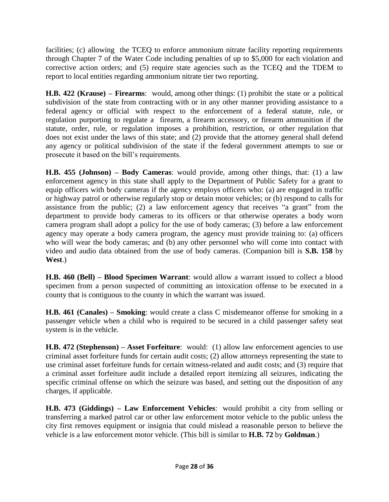facilities; (c) allowing the TCEQ to enforce ammonium nitrate facility reporting requirements through Chapter 7 of the Water Code including penalties of up to \$5,000 for each violation and corrective action orders; and (5) require state agencies such as the TCEQ and the TDEM to report to local entities regarding ammonium nitrate tier two reporting.

**H.B. 422 (Krause) – Firearms**: would, among other things: (1) prohibit the state or a political subdivision of the state from contracting with or in any other manner providing assistance to a federal agency or official with respect to the enforcement of a federal statute, rule, or regulation purporting to regulate a firearm, a firearm accessory, or firearm ammunition if the statute, order, rule, or regulation imposes a prohibition, restriction, or other regulation that does not exist under the laws of this state; and (2) provide that the attorney general shall defend any agency or political subdivision of the state if the federal government attempts to sue or prosecute it based on the bill's requirements.

**H.B. 455 (Johnson) – Body Cameras**: would provide, among other things, that: (1) a law enforcement agency in this state shall apply to the Department of Public Safety for a grant to equip officers with body cameras if the agency employs officers who: (a) are engaged in traffic or highway patrol or otherwise regularly stop or detain motor vehicles; or (b) respond to calls for assistance from the public; (2) a law enforcement agency that receives "a grant" from the department to provide body cameras to its officers or that otherwise operates a body worn camera program shall adopt a policy for the use of body cameras; (3) before a law enforcement agency may operate a body camera program, the agency must provide training to: (a) officers who will wear the body cameras; and (b) any other personnel who will come into contact with video and audio data obtained from the use of body cameras. (Companion bill is **S.B. 158** by **West**.)

**H.B. 460 (Bell) – Blood Specimen Warrant**: would allow a warrant issued to collect a blood specimen from a person suspected of committing an intoxication offense to be executed in a county that is contiguous to the county in which the warrant was issued.

**H.B. 461 (Canales) – Smoking**: would create a class C misdemeanor offense for smoking in a passenger vehicle when a child who is required to be secured in a child passenger safety seat system is in the vehicle.

**H.B. 472 (Stephenson) – Asset Forfeiture**: would: (1) allow law enforcement agencies to use criminal asset forfeiture funds for certain audit costs; (2) allow attorneys representing the state to use criminal asset forfeiture funds for certain witness-related and audit costs; and (3) require that a criminal asset forfeiture audit include a detailed report itemizing all seizures, indicating the specific criminal offense on which the seizure was based, and setting out the disposition of any charges, if applicable.

**H.B. 473 (Giddings) – Law Enforcement Vehicles**: would prohibit a city from selling or transferring a marked patrol car or other law enforcement motor vehicle to the public unless the city first removes equipment or insignia that could mislead a reasonable person to believe the vehicle is a law enforcement motor vehicle. (This bill is similar to **H.B. 72** by **Goldman**.)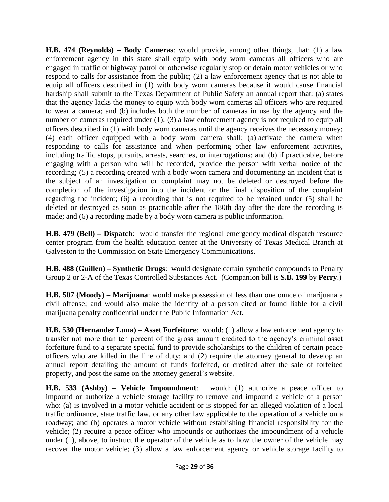**H.B. 474 (Reynolds) – Body Cameras**: would provide, among other things, that: (1) a law enforcement agency in this state shall equip with body worn cameras all officers who are engaged in traffic or highway patrol or otherwise regularly stop or detain motor vehicles or who respond to calls for assistance from the public; (2) a law enforcement agency that is not able to equip all officers described in (1) with body worn cameras because it would cause financial hardship shall submit to the Texas Department of Public Safety an annual report that: (a) states that the agency lacks the money to equip with body worn cameras all officers who are required to wear a camera; and (b) includes both the number of cameras in use by the agency and the number of cameras required under (1); (3) a law enforcement agency is not required to equip all officers described in (1) with body worn cameras until the agency receives the necessary money; (4) each officer equipped with a body worn camera shall: (a) activate the camera when responding to calls for assistance and when performing other law enforcement activities, including traffic stops, pursuits, arrests, searches, or interrogations; and (b) if practicable, before engaging with a person who will be recorded, provide the person with verbal notice of the recording; (5) a recording created with a body worn camera and documenting an incident that is the subject of an investigation or complaint may not be deleted or destroyed before the completion of the investigation into the incident or the final disposition of the complaint regarding the incident; (6) a recording that is not required to be retained under (5) shall be deleted or destroyed as soon as practicable after the 180th day after the date the recording is made; and (6) a recording made by a body worn camera is public information.

**H.B. 479 (Bell) – Dispatch**: would transfer the regional emergency medical dispatch resource center program from the health education center at the University of Texas Medical Branch at Galveston to the Commission on State Emergency Communications.

**H.B. 488 (Guillen) – Synthetic Drugs**: would designate certain synthetic compounds to Penalty Group 2 or 2-A of the Texas Controlled Substances Act. (Companion bill is **S.B. 199** by **Perry**.)

**H.B. 507 (Moody) – Marijuana**: would make possession of less than one ounce of marijuana a civil offense; and would also make the identity of a person cited or found liable for a civil marijuana penalty confidential under the Public Information Act.

**H.B. 530 (Hernandez Luna) – Asset Forfeiture**: would: (1) allow a law enforcement agency to transfer not more than ten percent of the gross amount credited to the agency's criminal asset forfeiture fund to a separate special fund to provide scholarships to the children of certain peace officers who are killed in the line of duty; and (2) require the attorney general to develop an annual report detailing the amount of funds forfeited, or credited after the sale of forfeited property, and post the same on the attorney general's website.

**H.B. 533 (Ashby) – Vehicle Impoundment**: would: (1) authorize a peace officer to impound or authorize a vehicle storage facility to remove and impound a vehicle of a person who: (a) is involved in a motor vehicle accident or is stopped for an alleged violation of a local traffic ordinance, state traffic law, or any other law applicable to the operation of a vehicle on a roadway; and (b) operates a motor vehicle without establishing financial responsibility for the vehicle; (2) require a peace officer who impounds or authorizes the impoundment of a vehicle under  $(1)$ , above, to instruct the operator of the vehicle as to how the owner of the vehicle may recover the motor vehicle; (3) allow a law enforcement agency or vehicle storage facility to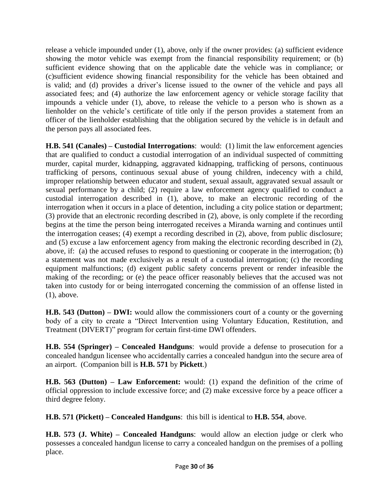release a vehicle impounded under (1), above, only if the owner provides: (a) sufficient evidence showing the motor vehicle was exempt from the financial responsibility requirement; or (b) sufficient evidence showing that on the applicable date the vehicle was in compliance; or (c)sufficient evidence showing financial responsibility for the vehicle has been obtained and is valid; and (d) provides a driver's license issued to the owner of the vehicle and pays all associated fees; and (4) authorize the law enforcement agency or vehicle storage facility that impounds a vehicle under (1), above, to release the vehicle to a person who is shown as a lienholder on the vehicle's certificate of title only if the person provides a statement from an officer of the lienholder establishing that the obligation secured by the vehicle is in default and the person pays all associated fees.

**H.B. 541 (Canales) – Custodial Interrogations**: would: (1) limit the law enforcement agencies that are qualified to conduct a custodial interrogation of an individual suspected of committing murder, capital murder, kidnapping, aggravated kidnapping, trafficking of persons, continuous trafficking of persons, continuous sexual abuse of young children, indecency with a child, improper relationship between educator and student, sexual assault, aggravated sexual assault or sexual performance by a child; (2) require a law enforcement agency qualified to conduct a custodial interrogation described in (1), above, to make an electronic recording of the interrogation when it occurs in a place of detention, including a city police station or department; (3) provide that an electronic recording described in (2), above, is only complete if the recording begins at the time the person being interrogated receives a Miranda warning and continues until the interrogation ceases; (4) exempt a recording described in (2), above, from public disclosure; and (5) excuse a law enforcement agency from making the electronic recording described in (2), above, if: (a) the accused refuses to respond to questioning or cooperate in the interrogation; (b) a statement was not made exclusively as a result of a custodial interrogation; (c) the recording equipment malfunctions; (d) exigent public safety concerns prevent or render infeasible the making of the recording; or (e) the peace officer reasonably believes that the accused was not taken into custody for or being interrogated concerning the commission of an offense listed in (1), above.

**H.B. 543 (Dutton) – DWI:** would allow the commissioners court of a county or the governing body of a city to create a "Direct Intervention using Voluntary Education, Restitution, and Treatment (DIVERT)" program for certain first-time DWI offenders.

**H.B. 554 (Springer) – Concealed Handguns**: would provide a defense to prosecution for a concealed handgun licensee who accidentally carries a concealed handgun into the secure area of an airport. (Companion bill is **H.B. 571** by **Pickett**.)

**H.B. 563 (Dutton) – Law Enforcement:** would: (1) expand the definition of the crime of official oppression to include excessive force; and (2) make excessive force by a peace officer a third degree felony.

**H.B. 571 (Pickett) – Concealed Handguns**: this bill is identical to **H.B. 554**, above.

**H.B. 573 (J. White) – Concealed Handguns**: would allow an election judge or clerk who possesses a concealed handgun license to carry a concealed handgun on the premises of a polling place.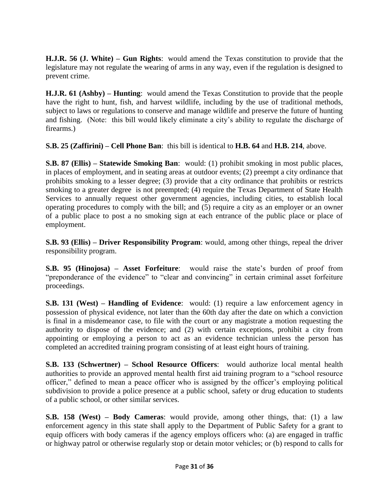**H.J.R. 56 (J. White) – Gun Rights**: would amend the Texas constitution to provide that the legislature may not regulate the wearing of arms in any way, even if the regulation is designed to prevent crime.

**H.J.R. 61 (Ashby) – Hunting**: would amend the Texas Constitution to provide that the people have the right to hunt, fish, and harvest wildlife, including by the use of traditional methods, subject to laws or regulations to conserve and manage wildlife and preserve the future of hunting and fishing. (Note: this bill would likely eliminate a city's ability to regulate the discharge of firearms.)

**S.B. 25 (Zaffirini) – Cell Phone Ban**: this bill is identical to **H.B. 64** and **H.B. 214**, above.

**S.B. 87 (Ellis) – Statewide Smoking Ban**: would: (1) prohibit smoking in most public places, in places of employment, and in seating areas at outdoor events; (2) preempt a city ordinance that prohibits smoking to a lesser degree; (3) provide that a city ordinance that prohibits or restricts smoking to a greater degree is not preempted; (4) require the Texas Department of State Health Services to annually request other government agencies, including cities, to establish local operating procedures to comply with the bill; and (5) require a city as an employer or an owner of a public place to post a no smoking sign at each entrance of the public place or place of employment.

**S.B. 93 (Ellis) – Driver Responsibility Program**: would, among other things, repeal the driver responsibility program.

**S.B. 95 (Hinojosa) – Asset Forfeiture**: would raise the state's burden of proof from "preponderance of the evidence" to "clear and convincing" in certain criminal asset forfeiture proceedings.

**S.B. 131 (West) – Handling of Evidence**: would: (1) require a law enforcement agency in possession of physical evidence, not later than the 60th day after the date on which a conviction is final in a misdemeanor case, to file with the court or any magistrate a motion requesting the authority to dispose of the evidence; and (2) with certain exceptions, prohibit a city from appointing or employing a person to act as an evidence technician unless the person has completed an accredited training program consisting of at least eight hours of training.

**S.B. 133 (Schwertner) – School Resource Officers**: would authorize local mental health authorities to provide an approved mental health first aid training program to a "school resource officer," defined to mean a peace officer who is assigned by the officer's employing political subdivision to provide a police presence at a public school, safety or drug education to students of a public school, or other similar services.

**S.B. 158 (West) – Body Cameras**: would provide, among other things, that: (1) a law enforcement agency in this state shall apply to the Department of Public Safety for a grant to equip officers with body cameras if the agency employs officers who: (a) are engaged in traffic or highway patrol or otherwise regularly stop or detain motor vehicles; or (b) respond to calls for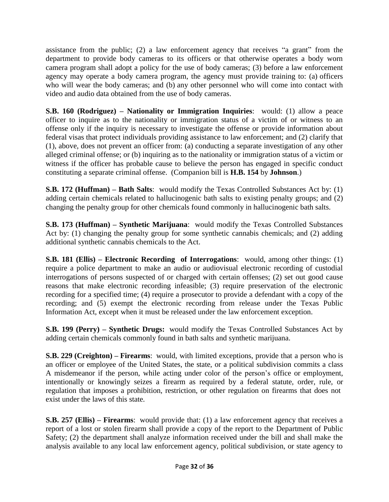assistance from the public; (2) a law enforcement agency that receives "a grant" from the department to provide body cameras to its officers or that otherwise operates a body worn camera program shall adopt a policy for the use of body cameras; (3) before a law enforcement agency may operate a body camera program, the agency must provide training to: (a) officers who will wear the body cameras; and (b) any other personnel who will come into contact with video and audio data obtained from the use of body cameras.

**S.B. 160 (Rodriguez) – Nationality or Immigration Inquiries**: would: (1) allow a peace officer to inquire as to the nationality or immigration status of a victim of or witness to an offense only if the inquiry is necessary to investigate the offense or provide information about federal visas that protect individuals providing assistance to law enforcement; and (2) clarify that (1), above, does not prevent an officer from: (a) conducting a separate investigation of any other alleged criminal offense; or (b) inquiring as to the nationality or immigration status of a victim or witness if the officer has probable cause to believe the person has engaged in specific conduct constituting a separate criminal offense. (Companion bill is **H.B. 154** by **Johnson**.)

**S.B. 172 (Huffman) – Bath Salts**: would modify the Texas Controlled Substances Act by: (1) adding certain chemicals related to hallucinogenic bath salts to existing penalty groups; and (2) changing the penalty group for other chemicals found commonly in hallucinogenic bath salts.

**S.B. 173 (Huffman) – Synthetic Marijuana**: would modify the Texas Controlled Substances Act by: (1) changing the penalty group for some synthetic cannabis chemicals; and (2) adding additional synthetic cannabis chemicals to the Act.

**S.B. 181 (Ellis) – Electronic Recording of Interrogations**: would, among other things: (1) require a police department to make an audio or audiovisual electronic recording of custodial interrogations of persons suspected of or charged with certain offenses; (2) set out good cause reasons that make electronic recording infeasible; (3) require preservation of the electronic recording for a specified time; (4) require a prosecutor to provide a defendant with a copy of the recording; and (5) exempt the electronic recording from release under the Texas Public Information Act, except when it must be released under the law enforcement exception.

**S.B. 199 (Perry) – Synthetic Drugs:** would modify the Texas Controlled Substances Act by adding certain chemicals commonly found in bath salts and synthetic marijuana.

**S.B. 229 (Creighton) – Firearms**: would, with limited exceptions, provide that a person who is an officer or employee of the United States, the state, or a political subdivision commits a class A misdemeanor if the person, while acting under color of the person's office or employment, intentionally or knowingly seizes a firearm as required by a federal statute, order, rule, or regulation that imposes a prohibition, restriction, or other regulation on firearms that does not exist under the laws of this state.

**S.B. 257 (Ellis) – Firearms**: would provide that: (1) a law enforcement agency that receives a report of a lost or stolen firearm shall provide a copy of the report to the Department of Public Safety; (2) the department shall analyze information received under the bill and shall make the analysis available to any local law enforcement agency, political subdivision, or state agency to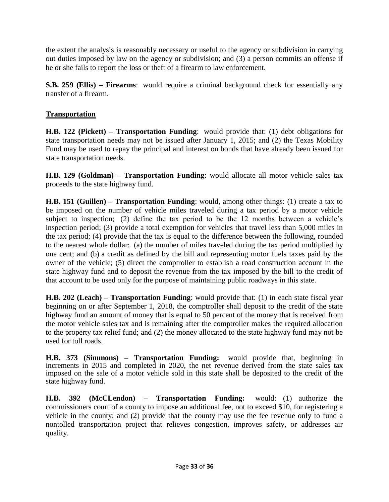the extent the analysis is reasonably necessary or useful to the agency or subdivision in carrying out duties imposed by law on the agency or subdivision; and (3) a person commits an offense if he or she fails to report the loss or theft of a firearm to law enforcement.

**S.B. 259 (Ellis) – Firearms:** would require a criminal background check for essentially any transfer of a firearm.

## **Transportation**

**H.B. 122 (Pickett) – Transportation Funding**: would provide that: (1) debt obligations for state transportation needs may not be issued after January 1, 2015; and (2) the Texas Mobility Fund may be used to repay the principal and interest on bonds that have already been issued for state transportation needs.

**H.B. 129 (Goldman) – Transportation Funding**: would allocate all motor vehicle sales tax proceeds to the state highway fund.

**H.B. 151 (Guillen) – Transportation Funding**: would, among other things: (1) create a tax to be imposed on the number of vehicle miles traveled during a tax period by a motor vehicle subject to inspection; (2) define the tax period to be the 12 months between a vehicle's inspection period; (3) provide a total exemption for vehicles that travel less than 5,000 miles in the tax period; (4) provide that the tax is equal to the difference between the following, rounded to the nearest whole dollar: (a) the number of miles traveled during the tax period multiplied by one cent; and (b) a credit as defined by the bill and representing motor fuels taxes paid by the owner of the vehicle; (5) direct the comptroller to establish a road construction account in the state highway fund and to deposit the revenue from the tax imposed by the bill to the credit of that account to be used only for the purpose of maintaining public roadways in this state.

**H.B. 202 (Leach) – Transportation Funding**: would provide that: (1) in each state fiscal year beginning on or after September 1, 2018, the comptroller shall deposit to the credit of the state highway fund an amount of money that is equal to 50 percent of the money that is received from the motor vehicle sales tax and is remaining after the comptroller makes the required allocation to the property tax relief fund; and (2) the money allocated to the state highway fund may not be used for toll roads.

**H.B. 373 (Simmons) – Transportation Funding:** would provide that, beginning in increments in 2015 and completed in 2020, the net revenue derived from the state sales tax imposed on the sale of a motor vehicle sold in this state shall be deposited to the credit of the state highway fund.

**H.B. 392 (McCLendon) – Transportation Funding:** would: (1) authorize the commissioners court of a county to impose an additional fee, not to exceed \$10, for registering a vehicle in the county; and (2) provide that the county may use the fee revenue only to fund a nontolled transportation project that relieves congestion, improves safety, or addresses air quality.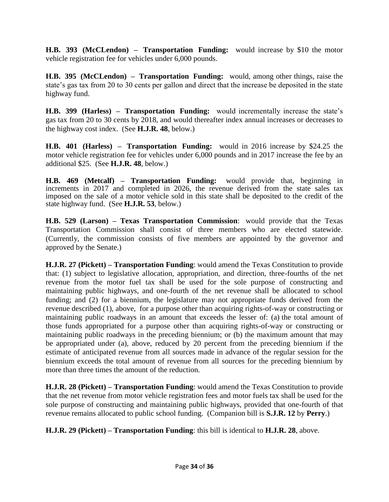**H.B. 393 (McCLendon) – Transportation Funding:** would increase by \$10 the motor vehicle registration fee for vehicles under 6,000 pounds.

**H.B. 395 (McCLendon) – Transportation Funding:** would, among other things, raise the state's gas tax from 20 to 30 cents per gallon and direct that the increase be deposited in the state highway fund.

**H.B. 399 (Harless) – Transportation Funding:** would incrementally increase the state's gas tax from 20 to 30 cents by 2018, and would thereafter index annual increases or decreases to the highway cost index. (See **H.J.R. 48**, below.)

**H.B. 401 (Harless) – Transportation Funding:** would in 2016 increase by \$24.25 the motor vehicle registration fee for vehicles under 6,000 pounds and in 2017 increase the fee by an additional \$25. (See **H.J.R. 48**, below.)

**H.B. 469 (Metcalf) – Transportation Funding:** would provide that, beginning in increments in 2017 and completed in 2026, the revenue derived from the state sales tax imposed on the sale of a motor vehicle sold in this state shall be deposited to the credit of the state highway fund. (See **H.J.R. 53**, below.)

**H.B. 529 (Larson) – Texas Transportation Commission**: would provide that the Texas Transportation Commission shall consist of three members who are elected statewide. (Currently, the commission consists of five members are appointed by the governor and approved by the Senate.)

**H.J.R. 27 (Pickett) – Transportation Funding**: would amend the Texas Constitution to provide that: (1) subject to legislative allocation, appropriation, and direction, three-fourths of the net revenue from the motor fuel tax shall be used for the sole purpose of constructing and maintaining public highways, and one-fourth of the net revenue shall be allocated to school funding; and (2) for a biennium, the legislature may not appropriate funds derived from the revenue described (1), above, for a purpose other than acquiring rights-of-way or constructing or maintaining public roadways in an amount that exceeds the lesser of: (a) the total amount of those funds appropriated for a purpose other than acquiring rights-of-way or constructing or maintaining public roadways in the preceding biennium; or (b) the maximum amount that may be appropriated under (a), above, reduced by 20 percent from the preceding biennium if the estimate of anticipated revenue from all sources made in advance of the regular session for the biennium exceeds the total amount of revenue from all sources for the preceding biennium by more than three times the amount of the reduction.

**H.J.R. 28 (Pickett) – Transportation Funding**: would amend the Texas Constitution to provide that the net revenue from motor vehicle registration fees and motor fuels tax shall be used for the sole purpose of constructing and maintaining public highways, provided that one-fourth of that revenue remains allocated to public school funding. (Companion bill is **S.J.R. 12** by **Perry**.)

**H.J.R. 29 (Pickett) – Transportation Funding**: this bill is identical to **H.J.R. 28**, above.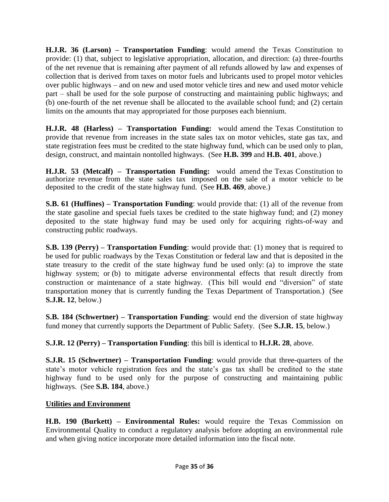**H.J.R. 36 (Larson) – Transportation Funding**: would amend the Texas Constitution to provide: (1) that, subject to legislative appropriation, allocation, and direction: (a) three-fourths of the net revenue that is remaining after payment of all refunds allowed by law and expenses of collection that is derived from taxes on motor fuels and lubricants used to propel motor vehicles over public highways – and on new and used motor vehicle tires and new and used motor vehicle part – shall be used for the sole purpose of constructing and maintaining public highways; and (b) one-fourth of the net revenue shall be allocated to the available school fund; and (2) certain limits on the amounts that may appropriated for those purposes each biennium.

**H.J.R. 48 (Harless) – Transportation Funding:** would amend the Texas Constitution to provide that revenue from increases in the state sales tax on motor vehicles, state gas tax, and state registration fees must be credited to the state highway fund, which can be used only to plan, design, construct, and maintain nontolled highways. (See **H.B. 399** and **H.B. 401**, above.)

**H.J.R. 53 (Metcalf) – Transportation Funding:** would amend the Texas Constitution to authorize revenue from the state sales tax imposed on the sale of a motor vehicle to be deposited to the credit of the state highway fund. (See **H.B. 469**, above.)

**S.B. 61 (Huffines) – Transportation Funding**: would provide that: (1) all of the revenue from the state gasoline and special fuels taxes be credited to the state highway fund; and (2) money deposited to the state highway fund may be used only for acquiring rights-of-way and constructing public roadways.

**S.B. 139 (Perry) – Transportation Funding**: would provide that: (1) money that is required to be used for public roadways by the Texas Constitution or federal law and that is deposited in the state treasury to the credit of the state highway fund be used only: (a) to improve the state highway system; or (b) to mitigate adverse environmental effects that result directly from construction or maintenance of a state highway. (This bill would end "diversion" of state transportation money that is currently funding the Texas Department of Transportation.) (See **S.J.R. 12**, below.)

**S.B. 184 (Schwertner) – Transportation Funding**: would end the diversion of state highway fund money that currently supports the Department of Public Safety. (See **S.J.R. 15**, below.)

**S.J.R. 12 (Perry) – Transportation Funding**: this bill is identical to **H.J.R. 28**, above.

**S.J.R. 15 (Schwertner) – Transportation Funding**: would provide that three-quarters of the state's motor vehicle registration fees and the state's gas tax shall be credited to the state highway fund to be used only for the purpose of constructing and maintaining public highways. (See **S.B. 184**, above.)

#### **Utilities and Environment**

**H.B. 190 (Burkett) – Environmental Rules:** would require the Texas Commission on Environmental Quality to conduct a regulatory analysis before adopting an environmental rule and when giving notice incorporate more detailed information into the fiscal note.